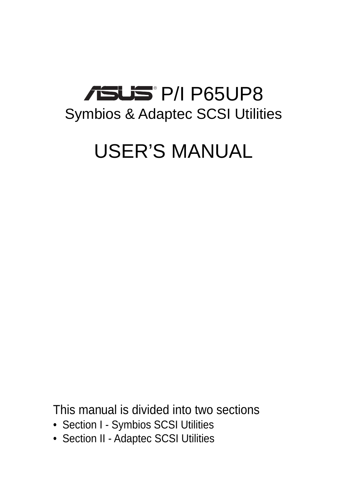

# USER'S MANUAL

This manual is divided into two sections

- Section I Symbios SCSI Utilities
- Section II Adaptec SCSI Utilities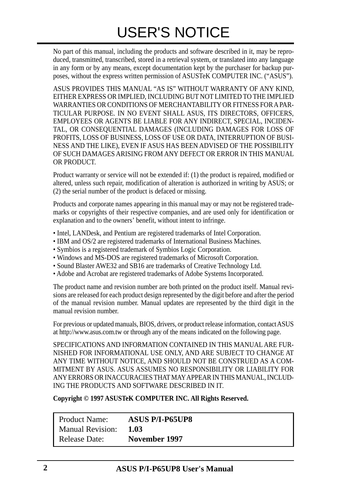No part of this manual, including the products and software described in it, may be reproduced, transmitted, transcribed, stored in a retrieval system, or translated into any language in any form or by any means, except documentation kept by the purchaser for backup purposes, without the express written permission of ASUSTeK COMPUTER INC. ("ASUS").

ASUS PROVIDES THIS MANUAL "AS IS" WITHOUT WARRANTY OF ANY KIND, EITHER EXPRESS OR IMPLIED, INCLUDING BUT NOT LIMITED TO THE IMPLIED WARRANTIES OR CONDITIONS OF MERCHANTABILITY OR FITNESS FOR A PAR-TICULAR PURPOSE. IN NO EVENT SHALL ASUS, ITS DIRECTORS, OFFICERS, EMPLOYEES OR AGENTS BE LIABLE FOR ANY INDIRECT, SPECIAL, INCIDEN-TAL, OR CONSEQUENTIAL DAMAGES (INCLUDING DAMAGES FOR LOSS OF PROFITS, LOSS OF BUSINESS, LOSS OF USE OR DATA, INTERRUPTION OF BUSI-NESS AND THE LIKE), EVEN IF ASUS HAS BEEN ADVISED OF THE POSSIBILITY OF SUCH DAMAGES ARISING FROM ANY DEFECT OR ERROR IN THIS MANUAL OR PRODUCT.

Product warranty or service will not be extended if: (1) the product is repaired, modified or altered, unless such repair, modification of alteration is authorized in writing by ASUS; or (2) the serial number of the product is defaced or missing.

Products and corporate names appearing in this manual may or may not be registered trademarks or copyrights of their respective companies, and are used only for identification or explanation and to the owners' benefit, without intent to infringe.

- Intel, LANDesk, and Pentium are registered trademarks of Intel Corporation.
- IBM and OS/2 are registered trademarks of International Business Machines.
- Symbios is a registered trademark of Symbios Logic Corporation.
- Windows and MS-DOS are registered trademarks of Microsoft Corporation.
- Sound Blaster AWE32 and SB16 are trademarks of Creative Technology Ltd.
- Adobe and Acrobat are registered trademarks of Adobe Systems Incorporated.

The product name and revision number are both printed on the product itself. Manual revisions are released for each product design represented by the digit before and after the period of the manual revision number. Manual updates are represented by the third digit in the manual revision number.

For previous or updated manuals, BIOS, drivers, or product release information, contact ASUS at http://www.asus.com.tw or through any of the means indicated on the following page.

SPECIFICATIONS AND INFORMATION CONTAINED IN THIS MANUAL ARE FUR-NISHED FOR INFORMATIONAL USE ONLY, AND ARE SUBJECT TO CHANGE AT ANY TIME WITHOUT NOTICE, AND SHOULD NOT BE CONSTRUED AS A COM-MITMENT BY ASUS. ASUS ASSUMES NO RESPONSIBILITY OR LIABILITY FOR ANY ERRORS OR INACCURACIES THAT MAY APPEAR IN THIS MANUAL, INCLUD-ING THE PRODUCTS AND SOFTWARE DESCRIBED IN IT.

**Copyright © 1997 ASUSTeK COMPUTER INC. All Rights Reserved.**

| <b>Product Name:</b> | <b>ASUS P/I-P65UP8</b> |
|----------------------|------------------------|
| Manual Revision:     | 1.03                   |
| <b>Release Date:</b> | November 1997          |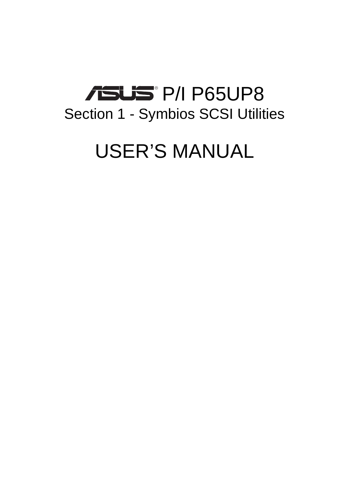# <sup>®</sup> P/I P65UP8 Section 1 - Symbios SCSI Utilities

# USER'S MANUAL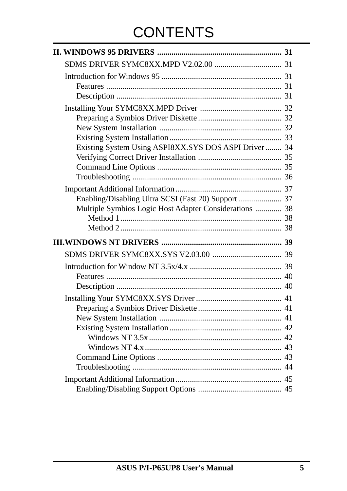| Existing System Using ASPI8XX.SYS DOS ASPI Driver 34   |  |
|--------------------------------------------------------|--|
|                                                        |  |
|                                                        |  |
|                                                        |  |
|                                                        |  |
|                                                        |  |
| Multiple Symbios Logic Host Adapter Considerations  38 |  |
|                                                        |  |
|                                                        |  |
|                                                        |  |
|                                                        |  |
|                                                        |  |
|                                                        |  |
|                                                        |  |
|                                                        |  |
|                                                        |  |
|                                                        |  |
|                                                        |  |
|                                                        |  |
|                                                        |  |
|                                                        |  |
|                                                        |  |
|                                                        |  |
|                                                        |  |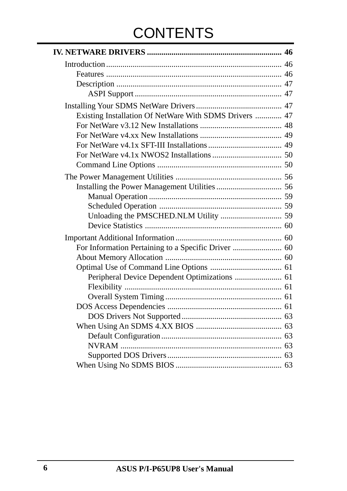| Existing Installation Of NetWare With SDMS Drivers  47 |  |
|--------------------------------------------------------|--|
|                                                        |  |
|                                                        |  |
|                                                        |  |
|                                                        |  |
|                                                        |  |
|                                                        |  |
|                                                        |  |
|                                                        |  |
|                                                        |  |
|                                                        |  |
|                                                        |  |
|                                                        |  |
|                                                        |  |
|                                                        |  |
|                                                        |  |
|                                                        |  |
|                                                        |  |
|                                                        |  |
|                                                        |  |
|                                                        |  |
|                                                        |  |
|                                                        |  |
|                                                        |  |
|                                                        |  |
|                                                        |  |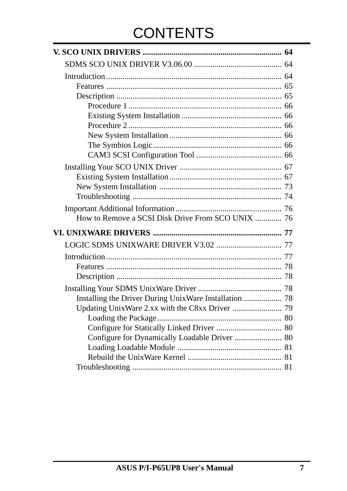| How to Remove a SCSI Disk Drive From SCO UNIX  76 |  |
|---------------------------------------------------|--|
|                                                   |  |
|                                                   |  |
|                                                   |  |
|                                                   |  |
|                                                   |  |
|                                                   |  |
|                                                   |  |
|                                                   |  |
|                                                   |  |
|                                                   |  |
| Configure for Dynamically Loadable Driver  80     |  |
|                                                   |  |
|                                                   |  |
|                                                   |  |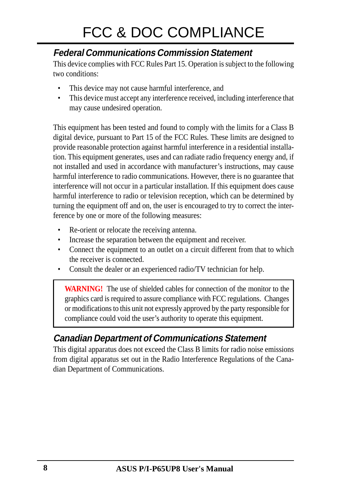# FCC & DOC COMPLIANCE

### **Federal Communications Commission Statement**

This device complies with FCC Rules Part 15. Operation is subject to the following two conditions:

- This device may not cause harmful interference, and
- This device must accept any interference received, including interference that may cause undesired operation.

This equipment has been tested and found to comply with the limits for a Class B digital device, pursuant to Part 15 of the FCC Rules. These limits are designed to provide reasonable protection against harmful interference in a residential installation. This equipment generates, uses and can radiate radio frequency energy and, if not installed and used in accordance with manufacturer's instructions, may cause harmful interference to radio communications. However, there is no guarantee that interference will not occur in a particular installation. If this equipment does cause harmful interference to radio or television reception, which can be determined by turning the equipment off and on, the user is encouraged to try to correct the interference by one or more of the following measures:

- Re-orient or relocate the receiving antenna.
- Increase the separation between the equipment and receiver.
- Connect the equipment to an outlet on a circuit different from that to which the receiver is connected.
- Consult the dealer or an experienced radio/TV technician for help.

**WARNING!** The use of shielded cables for connection of the monitor to the graphics card is required to assure compliance with FCC regulations. Changes or modifications to this unit not expressly approved by the party responsible for compliance could void the user's authority to operate this equipment.

### **Canadian Department of Communications Statement**

This digital apparatus does not exceed the Class B limits for radio noise emissions from digital apparatus set out in the Radio Interference Regulations of the Canadian Department of Communications.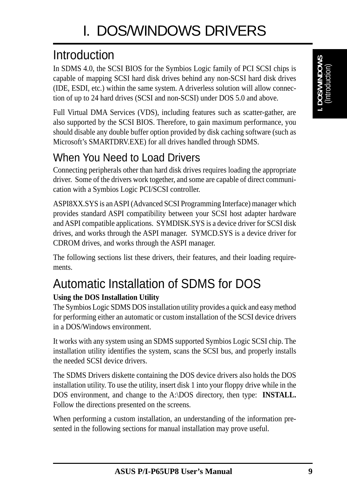# **Introduction**

In SDMS 4.0, the SCSI BIOS for the Symbios Logic family of PCI SCSI chips is capable of mapping SCSI hard disk drives behind any non-SCSI hard disk drives (IDE, ESDI, etc.) within the same system. A driverless solution will allow connection of up to 24 hard drives (SCSI and non-SCSI) under DOS 5.0 and above.

Full Virtual DMA Services (VDS), including features such as scatter-gather, are also supported by the SCSI BIOS. Therefore, to gain maximum performance, you should disable any double buffer option provided by disk caching software (such as Microsoft's SMARTDRV.EXE) for all drives handled through SDMS.

## When You Need to Load Drivers

Connecting peripherals other than hard disk drives requires loading the appropriate driver. Some of the drivers work together, and some are capable of direct communication with a Symbios Logic PCI/SCSI controller.

ASPI8XX.SYS is an ASPI (Advanced SCSI Programming Interface) manager which provides standard ASPI compatibility between your SCSI host adapter hardware and ASPI compatible applications. SYMDISK.SYS is a device driver for SCSI disk drives, and works through the ASPI manager. SYMCD.SYS is a device driver for CDROM drives, and works through the ASPI manager.

The following sections list these drivers, their features, and their loading requirements.

# Automatic Installation of SDMS for DOS

#### **Using the DOS Installation Utility**

The Symbios Logic SDMS DOS installation utility provides a quick and easy method for performing either an automatic or custom installation of the SCSI device drivers in a DOS/Windows environment.

It works with any system using an SDMS supported Symbios Logic SCSI chip. The installation utility identifies the system, scans the SCSI bus, and properly installs the needed SCSI device drivers.

The SDMS Drivers diskette containing the DOS device drivers also holds the DOS installation utility. To use the utility, insert disk 1 into your floppy drive while in the DOS environment, and change to the A:\DOS directory, then type: **INSTALL.** Follow the directions presented on the screens.

When performing a custom installation, an understanding of the information presented in the following sections for manual installation may prove useful.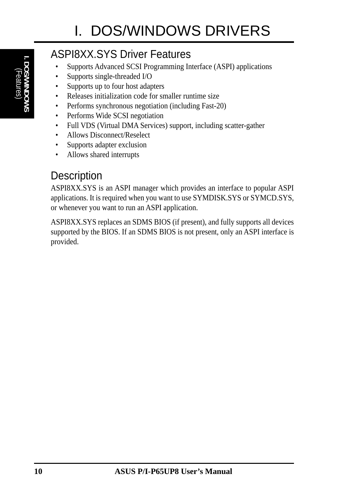### ASPI8XX.SYS Driver Features

- Supports Advanced SCSI Programming Interface (ASPI) applications
- Supports single-threaded I/O
- Supports up to four host adapters
- Releases initialization code for smaller runtime size
- Performs synchronous negotiation (including Fast-20)
- Performs Wide SCSI negotiation
- Full VDS (Virtual DMA Services) support, including scatter-gather
- Allows Disconnect/Reselect
- Supports adapter exclusion
- Allows shared interrupts

### **Description**

ASPI8XX.SYS is an ASPI manager which provides an interface to popular ASPI applications. It is required when you want to use SYMDISK.SYS or SYMCD.SYS, or whenever you want to run an ASPI application.

ASPI8XX.SYS replaces an SDMS BIOS (if present), and fully supports all devices supported by the BIOS. If an SDMS BIOS is not present, only an ASPI interface is provided.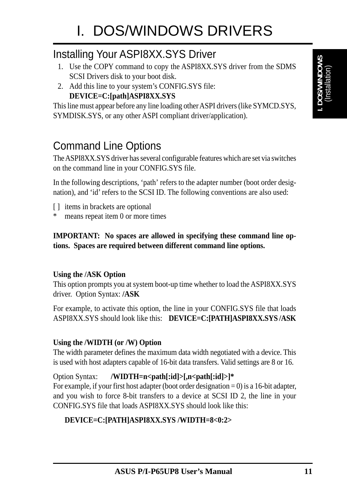### Installing Your ASPI8XX.SYS Driver

- 1. Use the COPY command to copy the ASPI8XX.SYS driver from the SDMS SCSI Drivers disk to your boot disk.
- 2. Add this line to your system's CONFIG.SYS file: **DEVICE=C:[path]ASPI8XX.SYS**

This line must appear before any line loading other ASPI drivers (like SYMCD.SYS, SYMDISK.SYS, or any other ASPI compliant driver/application).

## Command Line Options

The ASPI8XX.SYS driver has several configurable features which are set via switches on the command line in your CONFIG.SYS file.

In the following descriptions, 'path' refers to the adapter number (boot order designation), and 'id' refers to the SCSI ID. The following conventions are also used:

- [ ] items in brackets are optional
- means repeat item 0 or more times

**IMPORTANT: No spaces are allowed in specifying these command line options. Spaces are required between different command line options.**

#### **Using the /ASK Option**

This option prompts you at system boot-up time whether to load the ASPI8XX.SYS driver. Option Syntax: **/ASK**

For example, to activate this option, the line in your CONFIG.SYS file that loads ASPI8XX.SYS should look like this: **DEVICE=C:[PATH]ASPI8XX.SYS /ASK**

#### **Using the /WIDTH (or /W) Option**

The width parameter defines the maximum data width negotiated with a device. This is used with host adapters capable of 16-bit data transfers. Valid settings are 8 or 16.

#### Option Syntax: **/WIDTH=n<path[:id]>[,n<path[:id]>]\***

For example, if your first host adapter (boot order designation  $= 0$ ) is a 16-bit adapter, and you wish to force 8-bit transfers to a device at SCSI ID 2, the line in your CONFIG.SYS file that loads ASPI8XX.SYS should look like this:

#### **DEVICE=C:[PATH]ASPI8XX.SYS /WIDTH=8<0:2>**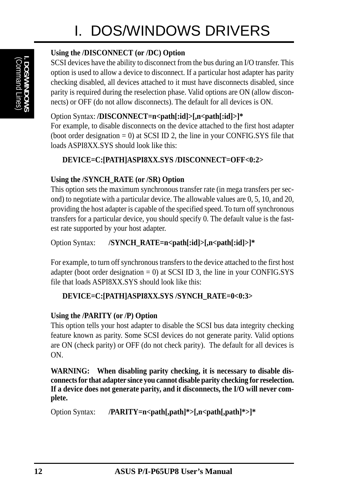#### **Using the /DISCONNECT (or /DC) Option**

SCSI devices have the ability to disconnect from the bus during an I/O transfer. This option is used to allow a device to disconnect. If a particular host adapter has parity checking disabled, all devices attached to it must have disconnects disabled, since parity is required during the reselection phase. Valid options are ON (allow disconnects) or OFF (do not allow disconnects). The default for all devices is ON.

#### Option Syntax: **/DISCONNECT=n<path[:id]>[,n<path[:id]>]\***

For example, to disable disconnects on the device attached to the first host adapter (boot order designation  $= 0$ ) at SCSI ID 2, the line in your CONFIG.SYS file that loads ASPI8XX.SYS should look like this:

#### **DEVICE=C:[PATH]ASPI8XX.SYS /DISCONNECT=OFF<0:2>**

#### **Using the /SYNCH\_RATE (or /SR) Option**

This option sets the maximum synchronous transfer rate (in mega transfers per second) to negotiate with a particular device. The allowable values are 0, 5, 10, and 20, providing the host adapter is capable of the specified speed. To turn off synchronous transfers for a particular device, you should specify 0. The default value is the fastest rate supported by your host adapter.

Option Syntax: **/SYNCH\_RATE=n<path[:id]>[,n<path[:id]>]\***

For example, to turn off synchronous transfers to the device attached to the first host adapter (boot order designation  $= 0$ ) at SCSI ID 3, the line in your CONFIG.SYS file that loads ASPI8XX.SYS should look like this:

#### **DEVICE=C:[PATH]ASPI8XX.SYS /SYNCH\_RATE=0<0:3>**

#### **Using the /PARITY (or /P) Option**

This option tells your host adapter to disable the SCSI bus data integrity checking feature known as parity. Some SCSI devices do not generate parity. Valid options are ON (check parity) or OFF (do not check parity). The default for all devices is ON.

**WARNING: When disabling parity checking, it is necessary to disable disconnects for that adapter since you cannot disable parity checking for reselection. If a device does not generate parity, and it disconnects, the I/O will never complete.**

```
Option Syntax: /PARITY=n<path[.path]*>[.n<path[.path]*>]*
```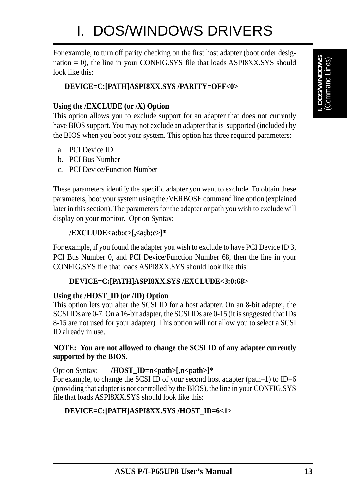For example, to turn off parity checking on the first host adapter (boot order designation  $= 0$ ), the line in your CONFIG.SYS file that loads ASPI8XX.SYS should look like this:

#### **DEVICE=C:[PATH]ASPI8XX.SYS /PARITY=OFF<0>**

#### **Using the /EXCLUDE (or /X) Option**

This option allows you to exclude support for an adapter that does not currently have BIOS support. You may not exclude an adapter that is supported (included) by the BIOS when you boot your system. This option has three required parameters:

- a. PCI Device ID
- b. PCI Bus Number
- c. PCI Device/Function Number

These parameters identify the specific adapter you want to exclude. To obtain these parameters, boot your system using the /VERBOSE command line option (explained later in this section). The parameters for the adapter or path you wish to exclude will display on your monitor. Option Syntax:

#### **/EXCLUDE<a:b:c>[,<a;b;c>]\***

For example, if you found the adapter you wish to exclude to have PCI Device ID 3, PCI Bus Number 0, and PCI Device/Function Number 68, then the line in your CONFIG.SYS file that loads ASPI8XX.SYS should look like this:

#### **DEVICE=C:[PATH]ASPI8XX.SYS /EXCLUDE<3:0:68>**

#### **Using the /HOST\_ID (or /ID) Option**

This option lets you alter the SCSI ID for a host adapter. On an 8-bit adapter, the SCSI IDs are 0-7. On a 16-bit adapter, the SCSI IDs are 0-15 (it is suggested that IDs 8-15 are not used for your adapter). This option will not allow you to select a SCSI ID already in use.

#### **NOTE: You are not allowed to change the SCSI ID of any adapter currently supported by the BIOS.**

#### Option Syntax: **/HOST\_ID=n<path>[,n<path>]\***

For example, to change the SCSI ID of your second host adapter (path=1) to ID=6 (providing that adapter is not controlled by the BIOS), the line in your CONFIG.SYS file that loads ASPI8XX.SYS should look like this:

#### **DEVICE=C:[PATH]ASPI8XX.SYS /HOST\_ID=6<1>**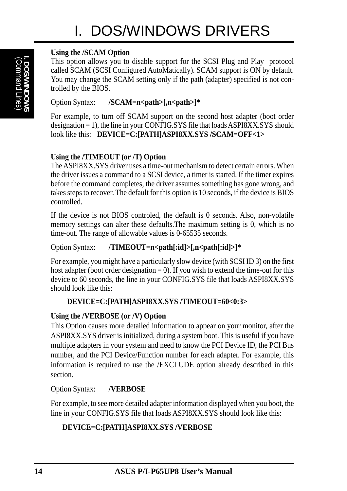#### **Using the /SCAM Option**

This option allows you to disable support for the SCSI Plug and Play protocol called SCAM (SCSI Configured AutoMatically). SCAM support is ON by default. You may change the SCAM setting only if the path (adapter) specified is not controlled by the BIOS.

#### Option Syntax: **/SCAM=n<path>[,n<path>]\***

For example, to turn off SCAM support on the second host adapter (boot order  $desipation = 1$ , the line in your CONFIG. SYS file that loads  $ASPI8XX.SYS$  should look like this: **DEVICE=C:[PATH]ASPI8XX.SYS /SCAM=OFF<1>**

#### **Using the /TIMEOUT (or /T) Option**

The ASPI8XX.SYS driver uses a time-out mechanism to detect certain errors. When the driver issues a command to a SCSI device, a timer is started. If the timer expires before the command completes, the driver assumes something has gone wrong, and takes steps to recover. The default for this option is 10 seconds, if the device is BIOS controlled.

If the device is not BIOS controled, the default is 0 seconds. Also, non-volatile memory settings can alter these defaults.The maximum setting is 0, which is no time-out. The range of allowable values is 0-65535 seconds.

#### Option Syntax: **/TIMEOUT=n<path[:id]>[,n<path[:id]>]\***

For example, you might have a particularly slow device (with SCSI ID 3) on the first host adapter (boot order designation  $= 0$ ). If you wish to extend the time-out for this device to 60 seconds, the line in your CONFIG.SYS file that loads ASPI8XX.SYS should look like this:

#### **DEVICE=C:[PATH]ASPI8XX.SYS /TIMEOUT=60<0:3>**

#### **Using the /VERBOSE (or /V) Option**

This Option causes more detailed information to appear on your monitor, after the ASPI8XX.SYS driver is initialized, during a system boot. This is useful if you have multiple adapters in your system and need to know the PCI Device ID, the PCI Bus number, and the PCI Device/Function number for each adapter. For example, this information is required to use the /EXCLUDE option already described in this section.

#### Option Syntax: **/VERBOSE**

For example, to see more detailed adapter information displayed when you boot, the line in your CONFIG.SYS file that loads ASPI8XX.SYS should look like this:

#### **DEVICE=C:[PATH]ASPI8XX.SYS /VERBOSE**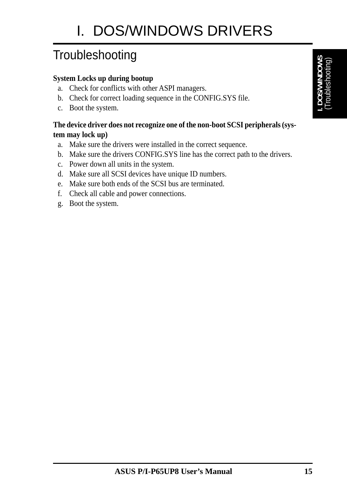# **Troubleshooting**

#### **System Locks up during bootup**

- a. Check for conflicts with other ASPI managers.
- b. Check for correct loading sequence in the CONFIG.SYS file.
- c. Boot the system.

#### **The device driver does not recognize one of the non-boot SCSI peripherals (system may lock up)**

- a. Make sure the drivers were installed in the correct sequence.
- b. Make sure the drivers CONFIG.SYS line has the correct path to the drivers.
- c. Power down all units in the system.
- d. Make sure all SCSI devices have unique ID numbers.
- e. Make sure both ends of the SCSI bus are terminated.
- f. Check all cable and power connections.
- g. Boot the system.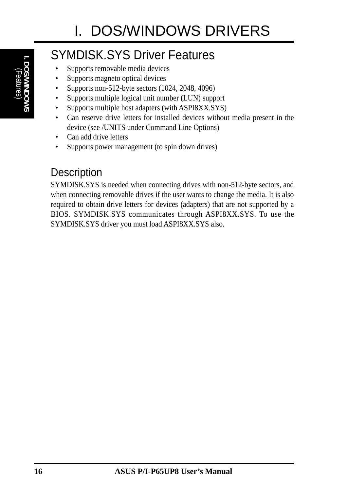# SYMDISK.SYS Driver Features

- Supports removable media devices
- Supports magneto optical devices
- Supports non-512-byte sectors  $(1024, 2048, 4096)$
- Supports multiple logical unit number (LUN) support
- Supports multiple host adapters (with ASPI8XX.SYS)
- Can reserve drive letters for installed devices without media present in the device (see /UNITS under Command Line Options)
- Can add drive letters
- Supports power management (to spin down drives)

### **Description**

SYMDISK.SYS is needed when connecting drives with non-512-byte sectors, and when connecting removable drives if the user wants to change the media. It is also required to obtain drive letters for devices (adapters) that are not supported by a BIOS. SYMDISK.SYS communicates through ASPI8XX.SYS. To use the SYMDISK.SYS driver you must load ASPI8XX.SYS also.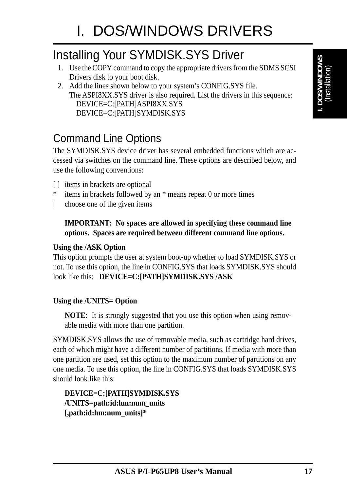# Installing Your SYMDISK.SYS Driver

- 1. Use the COPY command to copy the appropriate drivers from the SDMS SCSI Drivers disk to your boot disk.
- 2. Add the lines shown below to your system's CONFIG.SYS file. The ASPI8XX.SYS driver is also required. List the drivers in this sequence: DEVICE=C:[PATH]ASPI8XX.SYS DEVICE=C:[PATH]SYMDISK.SYS

### Command Line Options

The SYMDISK.SYS device driver has several embedded functions which are accessed via switches on the command line. These options are described below, and use the following conventions:

- [ ] items in brackets are optional
- \* items in brackets followed by an \* means repeat 0 or more times
- | choose one of the given items

#### **IMPORTANT: No spaces are allowed in specifying these command line options. Spaces are required between different command line options.**

#### **Using the /ASK Option**

This option prompts the user at system boot-up whether to load SYMDISK.SYS or not. To use this option, the line in CONFIG.SYS that loads SYMDISK.SYS should look like this: **DEVICE=C:[PATH]SYMDISK.SYS /ASK**

#### **Using the /UNITS= Option**

**NOTE**: It is strongly suggested that you use this option when using removable media with more than one partition.

SYMDISK.SYS allows the use of removable media, such as cartridge hard drives, each of which might have a different number of partitions. If media with more than one partition are used, set this option to the maximum number of partitions on any one media. To use this option, the line in CONFIG.SYS that loads SYMDISK.SYS should look like this:

#### **DEVICE=C:[PATH]SYMDISK.SYS /UNITS=path:id:lun:num\_units [,path:id:lun:num\_units]\***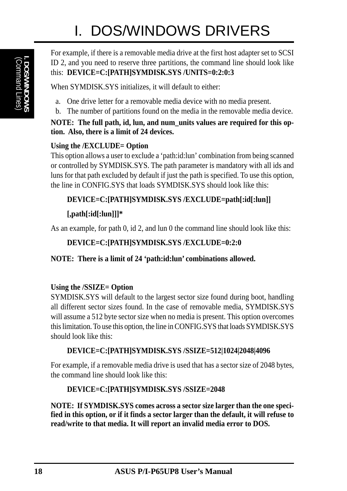For example, if there is a removable media drive at the first host adapter set to SCSI ID 2, and you need to reserve three partitions, the command line should look like this: **DEVICE=C:[PATH]SYMDISK.SYS /UNITS=0:2:0:3**

When SYMDISK.SYS initializes, it will default to either:

- a. One drive letter for a removable media device with no media present.
- b. The number of partitions found on the media in the removable media device.

#### **NOTE: The full path, id, lun, and num\_units values are required for this option. Also, there is a limit of 24 devices.**

#### **Using the /EXCLUDE= Option**

This option allows a user to exclude a 'path:id:lun' combination from being scanned or controlled by SYMDISK.SYS. The path parameter is mandatory with all ids and luns for that path excluded by default if just the path is specified. To use this option, the line in CONFIG.SYS that loads SYMDISK.SYS should look like this:

#### **DEVICE=C:[PATH]SYMDISK.SYS /EXCLUDE=path[:id[:lun]]**

#### **[,path[:id[:lun]]]\***

As an example, for path 0, id 2, and lun 0 the command line should look like this:

#### **DEVICE=C:[PATH]SYMDISK.SYS /EXCLUDE=0:2:0**

#### **NOTE: There is a limit of 24 'path:id:lun' combinations allowed.**

#### **Using the /SSIZE= Option**

SYMDISK.SYS will default to the largest sector size found during boot, handling all different sector sizes found. In the case of removable media, SYMDISK.SYS will assume a 512 byte sector size when no media is present. This option overcomes this limitation. To use this option, the line in CONFIG.SYS that loads SYMDISK.SYS should look like this:

#### **DEVICE=C:[PATH]SYMDISK.SYS /SSIZE=512|1024|2048|4096**

For example, if a removable media drive is used that has a sector size of 2048 bytes, the command line should look like this:

#### **DEVICE=C:[PATH]SYMDISK.SYS /SSIZE=2048**

**NOTE: If SYMDISK.SYS comes across a sector size larger than the one specified in this option, or if it finds a sector larger than the default, it will refuse to read/write to that media. It will report an invalid media error to DOS.**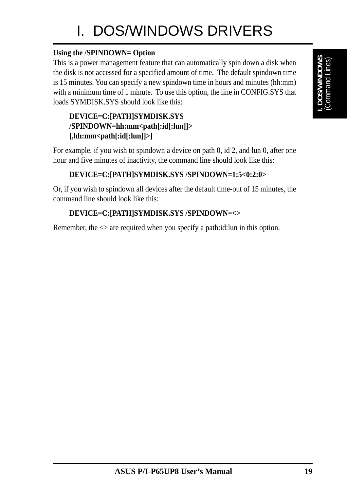#### **Using the /SPINDOWN= Option**

This is a power management feature that can automatically spin down a disk when the disk is not accessed for a specified amount of time. The default spindown time is 15 minutes. You can specify a new spindown time in hours and minutes (hh:mm) with a minimum time of 1 minute. To use this option, the line in CONFIG.SYS that loads SYMDISK.SYS should look like this:

#### **DEVICE=C:[PATH]SYMDISK.SYS /SPINDOWN=hh:mm<path[:id[:lun]]> [,hh:mm<path[:id[:lun]]>]**

For example, if you wish to spindown a device on path 0, id 2, and lun 0, after one hour and five minutes of inactivity, the command line should look like this:

#### **DEVICE=C:[PATH]SYMDISK.SYS /SPINDOWN=1:5<0:2:0>**

Or, if you wish to spindown all devices after the default time-out of 15 minutes, the command line should look like this:

#### **DEVICE=C:[PATH]SYMDISK.SYS /SPINDOWN=<>**

Remember, the  $\leq$  are required when you specify a path:id:lun in this option.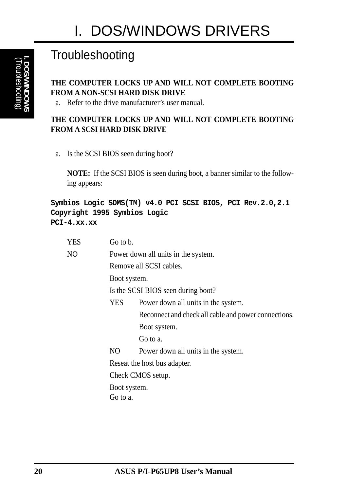# **Troubleshooting**

#### **THE COMPUTER LOCKS UP AND WILL NOT COMPLETE BOOTING FROM A NON-SCSI HARD DISK DRIVE**

a. Refer to the drive manufacturer's user manual.

#### **THE COMPUTER LOCKS UP AND WILL NOT COMPLETE BOOTING FROM A SCSI HARD DISK DRIVE**

a. Is the SCSI BIOS seen during boot?

**NOTE:** If the SCSI BIOS is seen during boot, a banner similar to the following appears:

**Symbios Logic SDMS(TM) v4.0 PCI SCSI BIOS, PCI Rev.2.0,2.1 Copyright 1995 Symbios Logic PCI-4.xx.xx**

| Go to b.                            |                                                      |  |
|-------------------------------------|------------------------------------------------------|--|
| Power down all units in the system. |                                                      |  |
| Remove all SCSI cables.             |                                                      |  |
| Boot system.                        |                                                      |  |
| Is the SCSI BIOS seen during boot?  |                                                      |  |
| <b>YES</b>                          | Power down all units in the system.                  |  |
|                                     | Reconnect and check all cable and power connections. |  |
|                                     | Boot system.                                         |  |
|                                     | Go to a.                                             |  |
| N <sub>O</sub>                      | Power down all units in the system.                  |  |
| Reseat the host bus adapter.        |                                                      |  |
| Check CMOS setup.                   |                                                      |  |
| Boot system.                        |                                                      |  |
| Go to a.                            |                                                      |  |
|                                     |                                                      |  |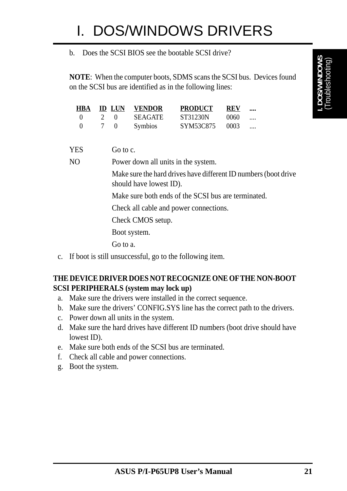#### b. Does the SCSI BIOS see the bootable SCSI drive?

**NOTE**: When the computer boots, SDMS scans the SCSI bus. Devices found on the SCSI bus are identified as in the following lines:

| <b>HBA</b> | <b>ID LUN</b> | <b>VENDOR</b>  | <b>PRODUCT</b> | <b>REV</b> |  |
|------------|---------------|----------------|----------------|------------|--|
| - 0        |               | <b>SEAGATE</b> | ST31230N       | 0060       |  |
| - 0        |               | <b>Symbios</b> | SYM53C875      | (1003)     |  |

YES Go to c.

NO Power down all units in the system.

Make sure the hard drives have different ID numbers (boot drive should have lowest ID).

Make sure both ends of the SCSI bus are terminated.

Check all cable and power connections.

Check CMOS setup.

Boot system.

Go to a.

c. If boot is still unsuccessful, go to the following item.

#### **THE DEVICE DRIVER DOES NOT RECOGNIZE ONE OF THE NON-BOOT SCSI PERIPHERALS (system may lock up)**

- a. Make sure the drivers were installed in the correct sequence.
- b. Make sure the drivers' CONFIG.SYS line has the correct path to the drivers.
- c. Power down all units in the system.
- d. Make sure the hard drives have different ID numbers (boot drive should have lowest ID).
- e. Make sure both ends of the SCSI bus are terminated.
- f. Check all cable and power connections.
- g. Boot the system.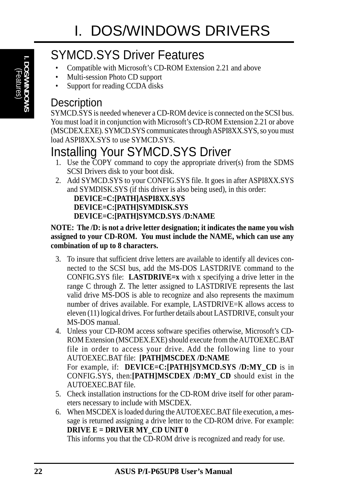# SYMCD.SYS Driver Features

- Compatible with Microsoft's CD-ROM Extension 2.21 and above
- Multi-session Photo CD support
- Support for reading CCDA disks

### **Description**

SYMCD.SYS is needed whenever a CD-ROM device is connected on the SCSI bus. You must load it in conjunction with Microsoft's CD-ROM Extension 2.21 or above (MSCDEX.EXE). SYMCD.SYS communicates through ASPI8XX.SYS, so you must load ASPI8XX.SYS to use SYMCD.SYS.

# Installing Your SYMCD.SYS Driver

- 1. Use the COPY command to copy the appropriate driver(s) from the SDMS SCSI Drivers disk to your boot disk.
- 2. Add SYMCD.SYS to your CONFIG.SYS file. It goes in after ASPI8XX.SYS and SYMDISK.SYS (if this driver is also being used), in this order:

**DEVICE=C:[PATH]ASPI8XX.SYS DEVICE=C:[PATH]SYMDISK.SYS DEVICE=C:[PATH]SYMCD.SYS /D:NAME**

#### **NOTE: The /D: is not a drive letter designation; it indicates the name you wish assigned to your CD-ROM. You must include the NAME, which can use any combination of up to 8 characters.**

- 3. To insure that sufficient drive letters are available to identify all devices connected to the SCSI bus, add the MS-DOS LASTDRIVE command to the CONFIG.SYS file: **LASTDRIVE=x** with x specifying a drive letter in the range C through Z. The letter assigned to LASTDRIVE represents the last valid drive MS-DOS is able to recognize and also represents the maximum number of drives available. For example, LASTDRIVE=K allows access to eleven (11) logical drives. For further details about LASTDRIVE, consult your MS-DOS manual.
- 4. Unless your CD-ROM access software specifies otherwise, Microsoft's CD-ROM Extension (MSCDEX.EXE) should execute from the AUTOEXEC.BAT file in order to access your drive. Add the following line to your AUTOEXEC.BAT file: **[PATH]MSCDEX /D:NAME** For example, if: **DEVICE=C:[PATH]SYMCD.SYS /D:MY\_CD** is in CONFIG.SYS, then:**[PATH]MSCDEX /D:MY\_CD** should exist in the AUTOEXEC.BAT file.
- 5. Check installation instructions for the CD-ROM drive itself for other parameters necessary to include with MSCDEX.
- 6. When MSCDEX is loaded during the AUTOEXEC.BAT file execution, a message is returned assigning a drive letter to the CD-ROM drive. For example: **DRIVE E = DRIVER MY\_CD UNIT 0**

This informs you that the CD-ROM drive is recognized and ready for use.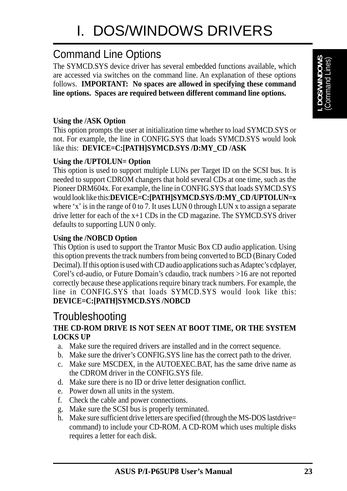### Command Line Options

The SYMCD.SYS device driver has several embedded functions available, which are accessed via switches on the command line. An explanation of these options follows. **IMPORTANT: No spaces are allowed in specifying these command line options. Spaces are required between different command line options.**

#### **Using the /ASK Option**

This option prompts the user at initialization time whether to load SYMCD.SYS or not. For example, the line in CONFIG.SYS that loads SYMCD.SYS would look like this: **DEVICE=C:[PATH]SYMCD.SYS /D:MY\_CD /ASK**

#### **Using the /UPTOLUN= Option**

This option is used to support multiple LUNs per Target ID on the SCSI bus. It is needed to support CDROM changers that hold several CDs at one time, such as the Pioneer DRM604x. For example, the line in CONFIG.SYS that loads SYMCD.SYS would look like this:**DEVICE=C:[PATH]SYMCD.SYS /D:MY\_CD /UPTOLUN=x** where 'x' is in the range of 0 to 7. It uses LUN 0 through LUN x to assign a separate drive letter for each of the x+1 CDs in the CD magazine. The SYMCD.SYS driver defaults to supporting LUN 0 only.

#### **Using the /NOBCD Option**

This Option is used to support the Trantor Music Box CD audio application. Using this option prevents the track numbers from being converted to BCD (Binary Coded Decimal). If this option is used with CD audio applications such as Adaptec's cdplayer, Corel's cd-audio, or Future Domain's cdaudio, track numbers >16 are not reported correctly because these applications require binary track numbers. For example, the line in CONFIG.SYS that loads SYMCD.SYS would look like this: **DEVICE=C:[PATH]SYMCD.SYS /NOBCD**

### **Troubleshooting**

#### **THE CD-ROM DRIVE IS NOT SEEN AT BOOT TIME, OR THE SYSTEM LOCKS UP**

- a. Make sure the required drivers are installed and in the correct sequence.
- b. Make sure the driver's CONFIG.SYS line has the correct path to the driver.
- c. Make sure MSCDEX, in the AUTOEXEC.BAT, has the same drive name as the CDROM driver in the CONFIG.SYS file.
- d. Make sure there is no ID or drive letter designation conflict.
- e. Power down all units in the system.
- f. Check the cable and power connections.
- g. Make sure the SCSI bus is properly terminated.
- h. Make sure sufficient drive letters are specified (through the MS-DOS lastdrive= command) to include your CD-ROM. A CD-ROM which uses multiple disks requires a letter for each disk.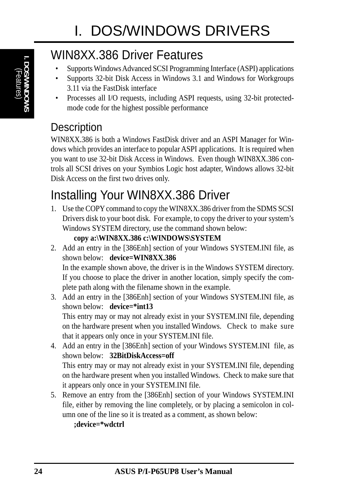# WIN8XX.386 Driver Features

- Supports Windows Advanced SCSI Programming Interface (ASPI) applications
- Supports 32-bit Disk Access in Windows 3.1 and Windows for Workgroups 3.11 via the FastDisk interface
- Processes all I/O requests, including ASPI requests, using 32-bit protectedmode code for the highest possible performance

## **Description**

WIN8XX.386 is both a Windows FastDisk driver and an ASPI Manager for Windows which provides an interface to popular ASPI applications. It is required when you want to use 32-bit Disk Access in Windows. Even though WIN8XX.386 controls all SCSI drives on your Symbios Logic host adapter, Windows allows 32-bit Disk Access on the first two drives only.

# Installing Your WIN8XX.386 Driver

1. Use the COPY command to copy the WIN8XX.386 driver from the SDMS SCSI Drivers disk to your boot disk. For example, to copy the driver to your system's Windows SYSTEM directory, use the command shown below:

#### **copy a:\WIN8XX.386 c:\WINDOWS\SYSTEM**

- 2. Add an entry in the [386Enh] section of your Windows SYSTEM.INI file, as shown below: **device=WIN8XX.386** In the example shown above, the driver is in the Windows SYSTEM directory. If you choose to place the driver in another location, simply specify the complete path along with the filename shown in the example.
- 3. Add an entry in the [386Enh] section of your Windows SYSTEM.INI file, as shown below: **device=\*int13** This entry may or may not already exist in your SYSTEM.INI file, depending on the hardware present when you installed Windows. Check to make sure that it appears only once in your SYSTEM.INI file.
- 4. Add an entry in the [386Enh] section of your Windows SYSTEM.INI file, as shown below: **32BitDiskAccess=off** This entry may or may not already exist in your SYSTEM.INI file, depending on the hardware present when you installed Windows. Check to make sure that it appears only once in your SYSTEM.INI file.
- 5. Remove an entry from the [386Enh] section of your Windows SYSTEM.INI file, either by removing the line completely, or by placing a semicolon in column one of the line so it is treated as a comment, as shown below:

**;device=\*wdctrl**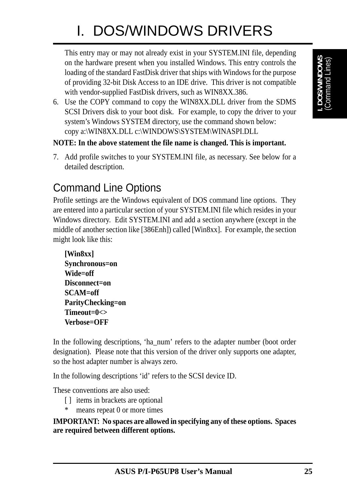# I. DOS/WINDOWS DRIVERS

This entry may or may not already exist in your SYSTEM.INI file, depending on the hardware present when you installed Windows. This entry controls the loading of the standard FastDisk driver that ships with Windows for the purpose of providing 32-bit Disk Access to an IDE drive. This driver is not compatible with vendor-supplied FastDisk drivers, such as WIN8XX.386.

6. Use the COPY command to copy the WIN8XX.DLL driver from the SDMS SCSI Drivers disk to your boot disk. For example, to copy the driver to your system's Windows SYSTEM directory, use the command shown below: copy a:\WIN8XX.DLL c:\WINDOWS\SYSTEM\WINASPI.DLL

#### **NOTE: In the above statement the file name is changed. This is important.**

7. Add profile switches to your SYSTEM.INI file, as necessary. See below for a detailed description.

## Command Line Options

Profile settings are the Windows equivalent of DOS command line options. They are entered into a particular section of your SYSTEM.INI file which resides in your Windows directory. Edit SYSTEM.INI and add a section anywhere (except in the middle of another section like [386Enh]) called [Win8xx]. For example, the section might look like this:

**[Win8xx] Synchronous=on Wide=off Disconnect=on SCAM=off ParityChecking=on Timeout=0<> Verbose=OFF**

In the following descriptions, 'ha\_num' refers to the adapter number (boot order designation). Please note that this version of the driver only supports one adapter, so the host adapter number is always zero.

In the following descriptions 'id' refers to the SCSI device ID.

These conventions are also used:

- [ ] items in brackets are optional
- means repeat 0 or more times

**IMPORTANT: No spaces are allowed in specifying any of these options. Spaces are required between different options.**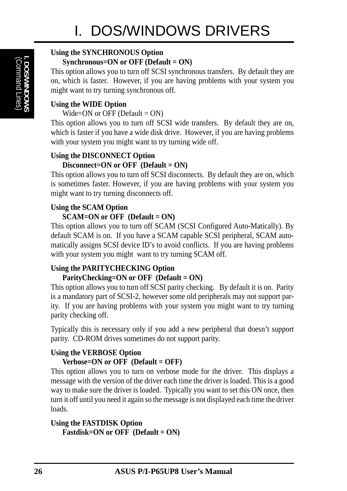#### **Using the SYNCHRONOUS Option Synchronous=ON or OFF (Default = ON)**

This option allows you to turn off SCSI synchronous transfers. By default they are on, which is faster. However, if you are having problems with your system you might want to try turning synchronous off.

#### **Using the WIDE Option**

Wide=ON or OFF (Default  $=$  ON)

This option allows you to turn off SCSI wide transfers. By default they are on, which is faster if you have a wide disk drive. However, if you are having problems with your system you might want to try turning wide off.

#### **Using the DISCONNECT Option**

#### Disconnect=ON or OFF (Default = ON)

This option allows you to turn off SCSI disconnects. By default they are on, which is sometimes faster. However, if you are having problems with your system you might want to try turning disconnects off.

#### **Using the SCAM Option**

#### **SCAM=ON or OFF (Default = ON)**

This option allows you to turn off SCAM (SCSI Configured Auto-Matically). By default SCAM is on. If you have a SCAM capable SCSI peripheral, SCAM automatically assigns SCSI device ID's to avoid conflicts. If you are having problems with your system you might want to try turning SCAM off.

#### **Using the PARITYCHECKING Option ParityChecking=ON or OFF (Default = ON)**

This option allows you to turn off SCSI parity checking. By default it is on. Parity is a mandatory part of SCSI-2, however some old peripherals may not support parity. If you are having problems with your system you might want to try turning parity checking off.

Typically this is necessary only if you add a new peripheral that doesn't support parity. CD-ROM drives sometimes do not support parity.

#### **Using the VERBOSE Option**

#### **Verbose=ON or OFF (Default = OFF)**

This option allows you to turn on verbose mode for the driver. This displays a message with the version of the driver each time the driver is loaded. This is a good way to make sure the driver is loaded. Typically you want to set this ON once, then turn it off until you need it again so the message is not displayed each time the driver loads.

**Using the FASTDISK Option Fastdisk=ON or OFF (Default = ON)**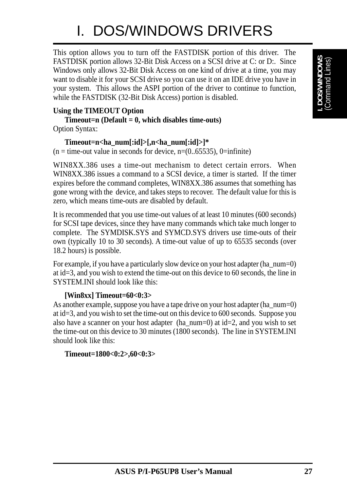This option allows you to turn off the FASTDISK portion of this driver. The FASTDISK portion allows 32-Bit Disk Access on a SCSI drive at C: or D:. Since Windows only allows 32-Bit Disk Access on one kind of drive at a time, you may want to disable it for your SCSI drive so you can use it on an IDE drive you have in your system. This allows the ASPI portion of the driver to continue to function, while the FASTDISK (32-Bit Disk Access) portion is disabled.

#### **Using the TIMEOUT Option**

**Timeout=n (Default = 0, which disables time-outs)**

Option Syntax:

**Timeout=n<ha\_num[:id]>[,n<ha\_num[:id]>]\***

 $(n = time-out value in seconds for device, n=(0..65535), 0=infinite)$ 

WIN8XX.386 uses a time-out mechanism to detect certain errors. When WIN8XX.386 issues a command to a SCSI device, a timer is started. If the timer expires before the command completes, WIN8XX.386 assumes that something has gone wrong with the device, and takes steps to recover. The default value for this is zero, which means time-outs are disabled by default.

It is recommended that you use time-out values of at least 10 minutes (600 seconds) for SCSI tape devices, since they have many commands which take much longer to complete. The SYMDISK.SYS and SYMCD.SYS drivers use time-outs of their own (typically 10 to 30 seconds). A time-out value of up to 65535 seconds (over 18.2 hours) is possible.

For example, if you have a particularly slow device on your host adapter (ha\_num=0) at id=3, and you wish to extend the time-out on this device to 60 seconds, the line in SYSTEM.INI should look like this:

#### **[Win8xx] Timeout=60<0:3>**

As another example, suppose you have a tape drive on your host adapter (ha\_num=0) at id=3, and you wish to set the time-out on this device to 600 seconds. Suppose you also have a scanner on your host adapter (ha\_num=0) at  $id=2$ , and you wish to set the time-out on this device to 30 minutes (1800 seconds). The line in SYSTEM.INI should look like this:

#### **Timeout=1800<0:2>,60<0:3>**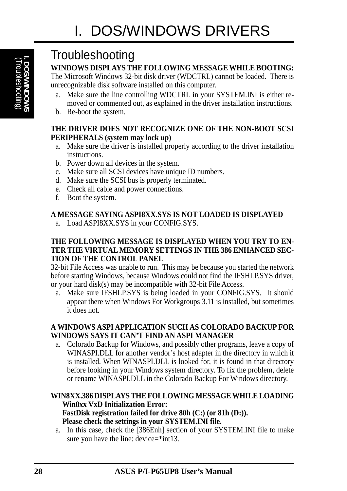## **Troubleshooting**

#### **WINDOWS DISPLAYS THE FOLLOWING MESSAGE WHILE BOOTING:**

The Microsoft Windows 32-bit disk driver (WDCTRL) cannot be loaded. There is unrecognizable disk software installed on this computer.

- a. Make sure the line controlling WDCTRL in your SYSTEM.INI is either removed or commented out, as explained in the driver installation instructions.
- b. Re-boot the system.

#### **THE DRIVER DOES NOT RECOGNIZE ONE OF THE NON-BOOT SCSI PERIPHERALS (system may lock up)**

- a. Make sure the driver is installed properly according to the driver installation instructions.
- b. Power down all devices in the system.
- c. Make sure all SCSI devices have unique ID numbers.
- d. Make sure the SCSI bus is properly terminated.
- e. Check all cable and power connections.
- f. Boot the system.

#### **A MESSAGE SAYING ASPI8XX.SYS IS NOT LOADED IS DISPLAYED**

a. Load ASPI8XX.SYS in your CONFIG.SYS.

#### **THE FOLLOWING MESSAGE IS DISPLAYED WHEN YOU TRY TO EN-TER THE VIRTUAL MEMORY SETTINGS IN THE 386 ENHANCED SEC-TION OF THE CONTROL PANEL**

32-bit File Access was unable to run. This may be because you started the network before starting Windows, because Windows could not find the IFSHLP.SYS driver, or your hard disk(s) may be incompatible with 32-bit File Access.

a. Make sure IFSHLP.SYS is being loaded in your CONFIG.SYS. It should appear there when Windows For Workgroups 3.11 is installed, but sometimes it does not.

#### **A WINDOWS ASPI APPLICATION SUCH AS COLORADO BACKUP FOR WINDOWS SAYS IT CAN'T FIND AN ASPI MANAGER**

a. Colorado Backup for Windows, and possibly other programs, leave a copy of WINASPI.DLL for another vendor's host adapter in the directory in which it is installed. When WINASPI.DLL is looked for, it is found in that directory before looking in your Windows system directory. To fix the problem, delete or rename WINASPI.DLL in the Colorado Backup For Windows directory.

#### **WIN8XX.386 DISPLAYS THE FOLLOWING MESSAGE WHILE LOADING Win8xx VxD Initialization Error: FastDisk registration failed for drive 80h (C:) (or 81h (D:)). Please check the settings in your SYSTEM.INI file.**

a. In this case, check the [386Enh] section of your SYSTEM.INI file to make sure you have the line: device=\*int13.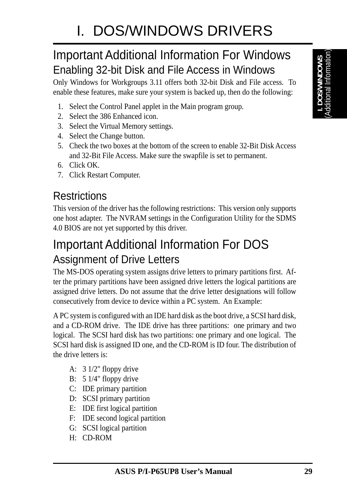# Important Additional Information For Windows Enabling 32-bit Disk and File Access in Windows

Only Windows for Workgroups 3.11 offers both 32-bit Disk and File access. To enable these features, make sure your system is backed up, then do the following:

- 1. Select the Control Panel applet in the Main program group.
- 2. Select the 386 Enhanced icon.
- 3. Select the Virtual Memory settings.
- 4. Select the Change button.
- 5. Check the two boxes at the bottom of the screen to enable 32-Bit Disk Access and 32-Bit File Access. Make sure the swapfile is set to permanent.
- 6. Click OK.
- 7. Click Restart Computer.

### **Restrictions**

This version of the driver has the following restrictions: This version only supports one host adapter. The NVRAM settings in the Configuration Utility for the SDMS 4.0 BIOS are not yet supported by this driver.

## Important Additional Information For DOS Assignment of Drive Letters

The MS-DOS operating system assigns drive letters to primary partitions first. After the primary partitions have been assigned drive letters the logical partitions are assigned drive letters. Do not assume that the drive letter designations will follow consecutively from device to device within a PC system. An Example:

A PC system is configured with an IDE hard disk as the boot drive, a SCSI hard disk, and a CD-ROM drive. The IDE drive has three partitions: one primary and two logical. The SCSI hard disk has two partitions: one primary and one logical. The SCSI hard disk is assigned ID one, and the CD-ROM is ID four. The distribution of the drive letters is:

- A: 3 1/2" floppy drive
- B: 5 1/4" floppy drive
- C: IDE primary partition
- D: SCSI primary partition
- E: IDE first logical partition
- F: IDE second logical partition
- G: SCSI logical partition
- H: CD-ROM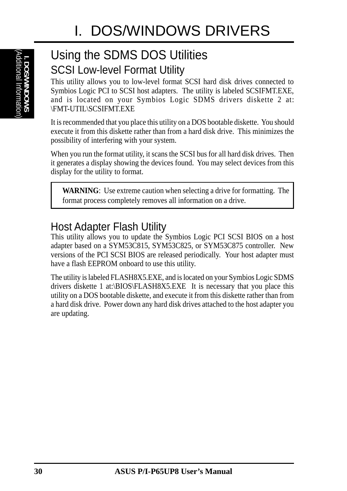## Using the SDMS DOS Utilities SCSI Low-level Format Utility

This utility allows you to low-level format SCSI hard disk drives connected to Symbios Logic PCI to SCSI host adapters. The utility is labeled SCSIFMT.EXE, and is located on your Symbios Logic SDMS drivers diskette 2 at: \FMT-UTIL\SCSIFMT.EXE

It is recommended that you place this utility on a DOS bootable diskette. You should execute it from this diskette rather than from a hard disk drive. This minimizes the possibility of interfering with your system.

When you run the format utility, it scans the SCSI bus for all hard disk drives. Then it generates a display showing the devices found. You may select devices from this display for the utility to format.

**WARNING**: Use extreme caution when selecting a drive for formatting. The format process completely removes all information on a drive.

### Host Adapter Flash Utility

This utility allows you to update the Symbios Logic PCI SCSI BIOS on a host adapter based on a SYM53C815, SYM53C825, or SYM53C875 controller. New versions of the PCI SCSI BIOS are released periodically. Your host adapter must have a flash EEPROM onboard to use this utility.

The utility is labeled FLASH8X5.EXE, and is located on your Symbios Logic SDMS drivers diskette 1 at:\BIOS\FLASH8X5.EXE It is necessary that you place this utility on a DOS bootable diskette, and execute it from this diskette rather than from a hard disk drive. Power down any hard disk drives attached to the host adapter you are updating.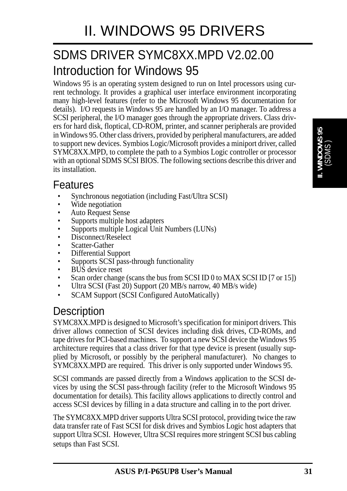# SDMS DRIVER SYMC8XX.MPD V2.02.00 Introduction for Windows 95

Windows 95 is an operating system designed to run on Intel processors using current technology. It provides a graphical user interface environment incorporating many high-level features (refer to the Microsoft Windows 95 documentation for details). I/O requests in Windows 95 are handled by an I/O manager. To address a SCSI peripheral, the I/O manager goes through the appropriate drivers. Class drivers for hard disk, floptical, CD-ROM, printer, and scanner peripherals are provided in Windows 95. Other class drivers, provided by peripheral manufacturers, are added to support new devices. Symbios Logic/Microsoft provides a miniport driver, called SYMC8XX.MPD, to complete the path to a Symbios Logic controller or processor with an optional SDMS SCSI BIOS. The following sections describe this driver and its installation.

### Features

- Synchronous negotiation (including Fast/Ultra SCSI)
- Wide negotiation
- Auto Request Sense
- Supports multiple host adapters
- Supports multiple Logical Unit Numbers (LUNs)
- Disconnect/Reselect
- Scatter-Gather
- Differential Support
- Supports SCSI pass-through functionality
- BUS device reset
- Scan order change (scans the bus from SCSI ID 0 to MAX SCSI ID [7 or 15])
- Ultra SCSI (Fast 20) Support (20 MB/s narrow, 40 MB/s wide)
- SCAM Support (SCSI Configured AutoMatically)

## **Description**

SYMC8XX.MPD is designed to Microsoft's specification for miniport drivers. This driver allows connection of SCSI devices including disk drives, CD-ROMs, and tape drives for PCI-based machines. To support a new SCSI device the Windows 95 architecture requires that a class driver for that type device is present (usually supplied by Microsoft, or possibly by the peripheral manufacturer). No changes to SYMC8XX.MPD are required. This driver is only supported under Windows 95.

SCSI commands are passed directly from a Windows application to the SCSI devices by using the SCSI pass-through facility (refer to the Microsoft Windows 95 documentation for details). This facility allows applications to directly control and access SCSI devices by filling in a data structure and calling in to the port driver.

The SYMC8XX.MPD driver supports Ultra SCSI protocol, providing twice the raw data transfer rate of Fast SCSI for disk drives and Symbios Logic host adapters that support Ultra SCSI. However, Ultra SCSI requires more stringent SCSI bus cabling setups than Fast SCSI.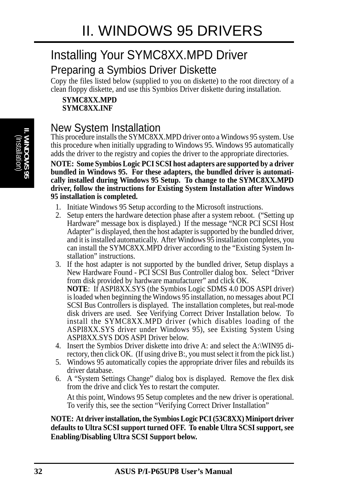### Installing Your SYMC8XX.MPD Driver Preparing a Symbios Driver Diskette

Copy the files listed below (supplied to you on diskette) to the root directory of a clean floppy diskette, and use this Symbios Driver diskette during installation.

#### **SYMC8XX.MPD SYMC8XX.INF**

### New System Installation

This procedure installs the SYMC8XX.MPD driver onto a Windows 95 system. Use this procedure when initially upgrading to Windows 95. Windows 95 automatically adds the driver to the registry and copies the driver to the appropriate directories.

**NOTE: Some Symbios Logic PCI SCSI host adapters are supported by a driver bundled in Windows 95. For these adapters, the bundled driver is automatically installed during Windows 95 Setup. To change to the SYMC8XX.MPD driver, follow the instructions for Existing System Installation after Windows 95 installation is completed.**

- 1. Initiate Windows 95 Setup according to the Microsoft instructions.
- 2. Setup enters the hardware detection phase after a system reboot. ("Setting up Hardware" message box is displayed.) If the message "NCR PCI SCSI Host Adapter" is displayed, then the host adapter is supported by the bundled driver, and it is installed automatically. After Windows 95 installation completes, you can install the SYMC8XX.MPD driver according to the "Existing System Installation" instructions.
- 3. If the host adapter is not supported by the bundled driver, Setup displays a New Hardware Found - PCI SCSI Bus Controller dialog box. Select "Driver from disk provided by hardware manufacturer" and click OK. **NOTE**: If ASPI8XX.SYS (the Symbios Logic SDMS 4.0 DOS ASPI driver) is loaded when beginning the Windows 95 installation, no messages about PCI SCSI Bus Controllers is displayed. The installation completes, but real-mode disk drivers are used. See Verifying Correct Driver Installation below. To install the SYMC8XX.MPD driver (which disables loading of the ASPI8XX.SYS driver under Windows 95), see Existing System Using ASPI8XX.SYS DOS ASPI Driver below.
- 4. Insert the Symbios Driver diskette into drive A: and select the A:\WIN95 directory, then click OK. (If using drive B:, you must select it from the pick list.)
- 5. Windows 95 automatically copies the appropriate driver files and rebuilds its driver database.
- 6. A "System Settings Change" dialog box is displayed. Remove the flex disk from the drive and click Yes to restart the computer.

At this point, Windows 95 Setup completes and the new driver is operational. To verify this, see the section "Verifying Correct Driver Installation"

**NOTE: At driver installation, the Symbios Logic PCI (53C8XX) Miniport driver defaults to Ultra SCSI support turned OFF. To enable Ultra SCSI support, see Enabling/Disabling Ultra SCSI Support below.**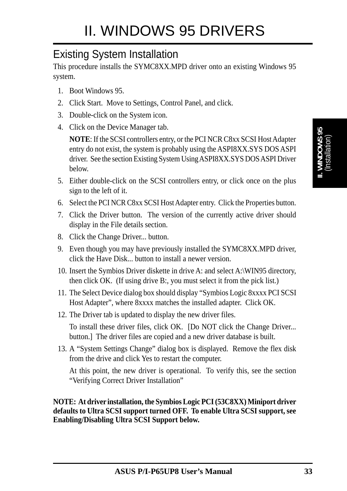### Existing System Installation

This procedure installs the SYMC8XX.MPD driver onto an existing Windows 95 system.

- 1. Boot Windows 95.
- 2. Click Start. Move to Settings, Control Panel, and click.
- 3. Double-click on the System icon.
- 4. Click on the Device Manager tab.

**NOTE**: If the SCSI controllers entry, or the PCI NCR C8xx SCSI Host Adapter entry do not exist, the system is probably using the ASPI8XX.SYS DOS ASPI driver. See the section Existing System Using ASPI8XX.SYS DOS ASPI Driver below.

- 5. Either double-click on the SCSI controllers entry, or click once on the plus sign to the left of it.
- 6. Select the PCI NCR C8xx SCSI Host Adapter entry. Click the Properties button.
- 7. Click the Driver button. The version of the currently active driver should display in the File details section.
- 8. Click the Change Driver... button.
- 9. Even though you may have previously installed the SYMC8XX.MPD driver, click the Have Disk... button to install a newer version.
- 10. Insert the Symbios Driver diskette in drive A: and select A:\WIN95 directory, then click OK. (If using drive B:, you must select it from the pick list.)
- 11. The Select Device dialog box should display "Symbios Logic 8xxxx PCI SCSI Host Adapter", where 8xxxx matches the installed adapter. Click OK.
- 12. The Driver tab is updated to display the new driver files. To install these driver files, click OK. [Do NOT click the Change Driver... button.] The driver files are copied and a new driver database is built.
- 13. A "System Settings Change" dialog box is displayed. Remove the flex disk from the drive and click Yes to restart the computer.

At this point, the new driver is operational. To verify this, see the section "Verifying Correct Driver Installation"

**NOTE: At driver installation, the Symbios Logic PCI (53C8XX) Miniport driver defaults to Ultra SCSI support turned OFF. To enable Ultra SCSI support, see Enabling/Disabling Ultra SCSI Support below.**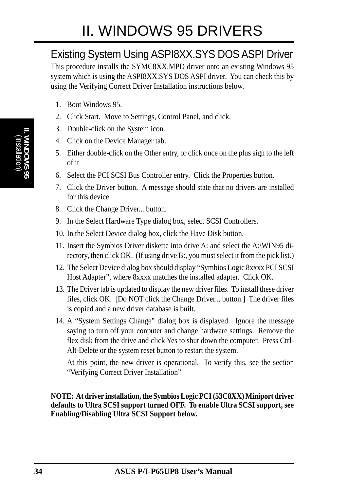### Existing System Using ASPI8XX.SYS DOS ASPI Driver

This procedure installs the SYMC8XX.MPD driver onto an existing Windows 95 system which is using the ASPI8XX.SYS DOS ASPI driver. You can check this by using the Verifying Correct Driver Installation instructions below.

- 1. Boot Windows 95.
- 2. Click Start. Move to Settings, Control Panel, and click.
- 3. Double-click on the System icon.
- 4. Click on the Device Manager tab.
- 5. Either double-click on the Other entry, or click once on the plus sign to the left of it.
- 6. Select the PCI SCSI Bus Controller entry. Click the Properties button.
- 7. Click the Driver button. A message should state that no drivers are installed for this device.
- 8. Click the Change Driver... button.
- 9. In the Select Hardware Type dialog box, select SCSI Controllers.
- 10. In the Select Device dialog box, click the Have Disk button.
- 11. Insert the Symbios Driver diskette into drive A: and select the A:\WIN95 directory, then click OK. (If using drive B:, you must select it from the pick list.)
- 12. The Select Device dialog box should display "Symbios Logic 8xxxx PCI SCSI Host Adapter", where 8xxxx matches the installed adapter. Click OK.
- 13. The Driver tab is updated to display the new driver files. To install these driver files, click OK. [Do NOT click the Change Driver... button.] The driver files is copied and a new driver database is built.
- 14. A "System Settings Change" dialog box is displayed. Ignore the message saying to turn off your conputer and change hardware settings. Remove the flex disk from the drive and click Yes to shut down the computer. Press Ctrl-Alt-Delete or the system reset button to restart the system.

At this point, the new driver is operational. To verify this, see the section "Verifying Correct Driver Installation"

**NOTE: At driver installation, the Symbios Logic PCI (53C8XX) Miniport driver defaults to Ultra SCSI support turned OFF. To enable Ultra SCSI support, see Enabling/Disabling Ultra SCSI Support below.**

**II. WINDOWS 95** (Installation)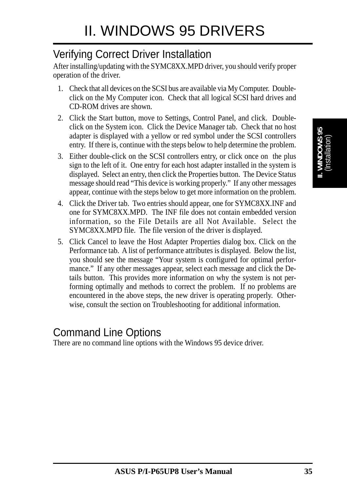### Verifying Correct Driver Installation

After installing/updating with the SYMC8XX.MPD driver, you should verify proper operation of the driver.

- 1. Check that all devices on the SCSI bus are available via My Computer. Doubleclick on the My Computer icon. Check that all logical SCSI hard drives and CD-ROM drives are shown.
- 2. Click the Start button, move to Settings, Control Panel, and click. Doubleclick on the System icon. Click the Device Manager tab. Check that no host adapter is displayed with a yellow or red symbol under the SCSI controllers entry. If there is, continue with the steps below to help determine the problem.
- 3. Either double-click on the SCSI controllers entry, or click once on the plus sign to the left of it. One entry for each host adapter installed in the system is displayed. Select an entry, then click the Properties button. The Device Status message should read "This device is working properly." If any other messages appear, continue with the steps below to get more information on the problem.
- 4. Click the Driver tab. Two entries should appear, one for SYMC8XX.INF and one for SYMC8XX.MPD. The INF file does not contain embedded version information, so the File Details are all Not Available. Select the SYMC8XX.MPD file. The file version of the driver is displayed.
- 5. Click Cancel to leave the Host Adapter Properties dialog box. Click on the Performance tab. A list of performance attributes is displayed. Below the list, you should see the message "Your system is configured for optimal performance." If any other messages appear, select each message and click the Details button. This provides more information on why the system is not performing optimally and methods to correct the problem. If no problems are encountered in the above steps, the new driver is operating properly. Otherwise, consult the section on Troubleshooting for additional information.

### Command Line Options

There are no command line options with the Windows 95 device driver.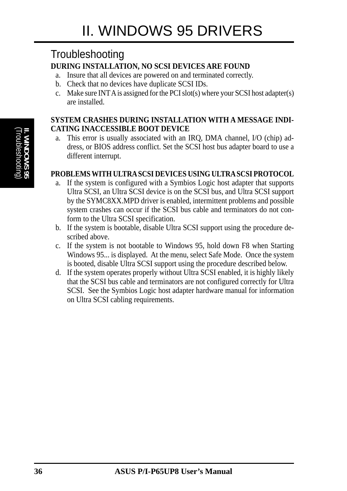#### **Troubleshooting DURING INSTALLATION, NO SCSI DEVICES ARE FOUND**

- a. Insure that all devices are powered on and terminated correctly.
- b. Check that no devices have duplicate SCSI IDs.
- c. Make sure INT A is assigned for the PCI slot(s) where your SCSI host adapter(s) are installed.

#### **SYSTEM CRASHES DURING INSTALLATION WITH A MESSAGE INDI-CATING INACCESSIBLE BOOT DEVICE**

a. This error is usually associated with an IRQ, DMA channel, I/O (chip) address, or BIOS address conflict. Set the SCSI host bus adapter board to use a different interrupt.

#### **PROBLEMS WITH ULTRA SCSI DEVICES USING ULTRA SCSI PROTOCOL**

- a. If the system is configured with a Symbios Logic host adapter that supports Ultra SCSI, an Ultra SCSI device is on the SCSI bus, and Ultra SCSI support by the SYMC8XX.MPD driver is enabled, intermittent problems and possible system crashes can occur if the SCSI bus cable and terminators do not conform to the Ultra SCSI specification.
- b. If the system is bootable, disable Ultra SCSI support using the procedure described above.
- c. If the system is not bootable to Windows 95, hold down F8 when Starting Windows 95... is displayed. At the menu, select Safe Mode. Once the system is booted, disable Ultra SCSI support using the procedure described below.
- d. If the system operates properly without Ultra SCSI enabled, it is highly likely that the SCSI bus cable and terminators are not configured correctly for Ultra SCSI. See the Symbios Logic host adapter hardware manual for information on Ultra SCSI cabling requirements.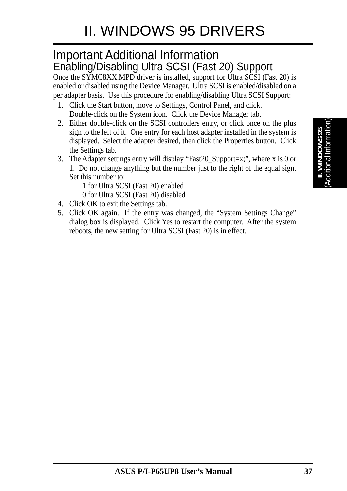### Important Additional Information Enabling/Disabling Ultra SCSI (Fast 20) Support

Once the SYMC8XX.MPD driver is installed, support for Ultra SCSI (Fast 20) is enabled or disabled using the Device Manager. Ultra SCSI is enabled/disabled on a per adapter basis. Use this procedure for enabling/disabling Ultra SCSI Support:

- 1. Click the Start button, move to Settings, Control Panel, and click. Double-click on the System icon. Click the Device Manager tab.
- 2. Either double-click on the SCSI controllers entry, or click once on the plus sign to the left of it. One entry for each host adapter installed in the system is displayed. Select the adapter desired, then click the Properties button. Click the Settings tab.
- 3. The Adapter settings entry will display "Fast20\_Support=x;", where x is 0 or 1. Do not change anything but the number just to the right of the equal sign. Set this number to:

1 for Ultra SCSI (Fast 20) enabled

- 0 for Ultra SCSI (Fast 20) disabled
- 4. Click OK to exit the Settings tab.
- 5. Click OK again. If the entry was changed, the "System Settings Change" dialog box is displayed. Click Yes to restart the computer. After the system reboots, the new setting for Ultra SCSI (Fast 20) is in effect.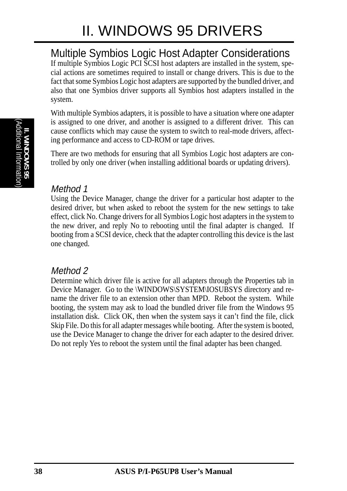### Multiple Symbios Logic Host Adapter Considerations

If multiple Symbios Logic PCI SCSI host adapters are installed in the system, special actions are sometimes required to install or change drivers. This is due to the fact that some Symbios Logic host adapters are supported by the bundled driver, and also that one Symbios driver supports all Symbios host adapters installed in the system.

With multiple Symbios adapters, it is possible to have a situation where one adapter is assigned to one driver, and another is assigned to a different driver. This can cause conflicts which may cause the system to switch to real-mode drivers, affecting performance and access to CD-ROM or tape drives.

There are two methods for ensuring that all Symbios Logic host adapters are controlled by only one driver (when installing additional boards or updating drivers).

#### Method 1

Using the Device Manager, change the driver for a particular host adapter to the desired driver, but when asked to reboot the system for the new settings to take effect, click No. Change drivers for all Symbios Logic host adapters in the system to the new driver, and reply No to rebooting until the final adapter is changed. If booting from a SCSI device, check that the adapter controlling this device is the last one changed.

#### Method 2

Determine which driver file is active for all adapters through the Properties tab in Device Manager. Go to the \WINDOWS\SYSTEM\IOSUBSYS directory and rename the driver file to an extension other than MPD. Reboot the system. While booting, the system may ask to load the bundled driver file from the Windows 95 installation disk. Click OK, then when the system says it can't find the file, click Skip File. Do this for all adapter messages while booting. After the system is booted, use the Device Manager to change the driver for each adapter to the desired driver. Do not reply Yes to reboot the system until the final adapter has been changed.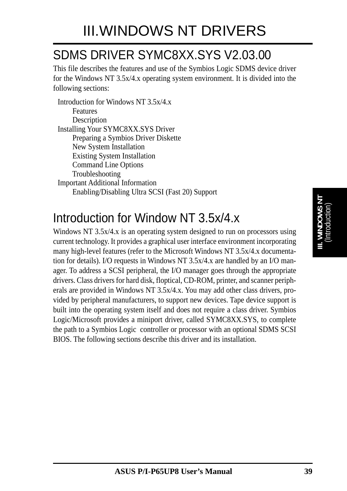### SDMS DRIVER SYMC8XX.SYS V2.03.00

This file describes the features and use of the Symbios Logic SDMS device driver for the Windows NT 3.5x/4.x operating system environment. It is divided into the following sections:

| Introduction for Windows NT $3.5x/4.x$          |
|-------------------------------------------------|
| Features                                        |
| Description                                     |
| Installing Your SYMC8XX.SYS Driver              |
| Preparing a Symbios Driver Diskette             |
| New System Installation                         |
| <b>Existing System Installation</b>             |
| <b>Command Line Options</b>                     |
| Troubleshooting                                 |
| <b>Important Additional Information</b>         |
| Enabling/Disabling Ultra SCSI (Fast 20) Support |

### Introduction for Window NT 3.5x/4.x

Windows NT 3.5x/4.x is an operating system designed to run on processors using current technology. It provides a graphical user interface environment incorporating many high-level features (refer to the Microsoft Windows NT 3.5x/4.x documentation for details). I/O requests in Windows NT 3.5x/4.x are handled by an I/O manager. To address a SCSI peripheral, the I/O manager goes through the appropriate drivers. Class drivers for hard disk, floptical, CD-ROM, printer, and scanner peripherals are provided in Windows NT 3.5x/4.x. You may add other class drivers, provided by peripheral manufacturers, to support new devices. Tape device support is built into the operating system itself and does not require a class driver. Symbios Logic/Microsoft provides a miniport driver, called SYMC8XX.SYS, to complete the path to a Symbios Logic controller or processor with an optional SDMS SCSI BIOS. The following sections describe this driver and its installation.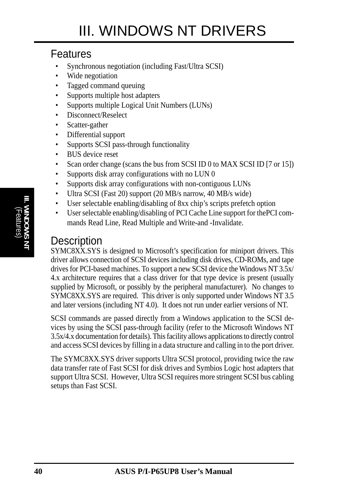### Features

- Synchronous negotiation (including Fast/Ultra SCSI)
- Wide negotiation
- Tagged command queuing
- Supports multiple host adapters
- Supports multiple Logical Unit Numbers (LUNs)
- Disconnect/Reselect
- Scatter-gather
- Differential support
- Supports SCSI pass-through functionality
- BUS device reset
- Scan order change (scans the bus from SCSI ID 0 to MAX SCSI ID [7 or 15])
- Supports disk array configurations with no LUN 0
- Supports disk array configurations with non-contiguous LUNs
- Ultra SCSI (Fast 20) support (20 MB/s narrow, 40 MB/s wide)
- User selectable enabling/disabling of 8xx chip's scripts prefetch option
- User selectable enabling/disabling of PCI Cache Line support for thePCI commands Read Line, Read Multiple and Write-and -Invalidate.

### **Description**

SYMC8XX.SYS is designed to Microsoft's specification for miniport drivers. This driver allows connection of SCSI devices including disk drives, CD-ROMs, and tape drives for PCI-based machines. To support a new SCSI device the Windows NT 3.5x/ 4.x architecture requires that a class driver for that type device is present (usually supplied by Microsoft, or possibly by the peripheral manufacturer). No changes to SYMC8XX.SYS are required. This driver is only supported under Windows NT 3.5 and later versions (including NT 4.0). It does not run under earlier versions of NT.

SCSI commands are passed directly from a Windows application to the SCSI devices by using the SCSI pass-through facility (refer to the Microsoft Windows NT 3.5x/4.x documentation for details). This facility allows applications to directly control and access SCSI devices by filling in a data structure and calling in to the port driver.

The SYMC8XX.SYS driver supports Ultra SCSI protocol, providing twice the raw data transfer rate of Fast SCSI for disk drives and Symbios Logic host adapters that support Ultra SCSI. However, Ultra SCSI requires more stringent SCSI bus cabling setups than Fast SCSI.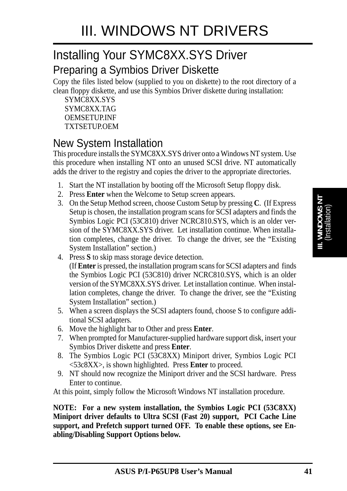### Installing Your SYMC8XX.SYS Driver Preparing a Symbios Driver Diskette

Copy the files listed below (supplied to you on diskette) to the root directory of a clean floppy diskette, and use this Symbios Driver diskette during installation:

SYMC8XX.SYS SYMC8XX.TAG OEMSETUP.INF TXTSETUP.OEM

### New System Installation

This procedure installs the SYMC8XX.SYS driver onto a Windows NT system. Use this procedure when installing NT onto an unused SCSI drive. NT automatically adds the driver to the registry and copies the driver to the appropriate directories.

- 1. Start the NT installation by booting off the Microsoft Setup floppy disk.
- 2. Press **Enter** when the Welcome to Setup screen appears.
- 3. On the Setup Method screen, choose Custom Setup by pressing **C**. (If Express Setup is chosen, the installation program scans for SCSI adapters and finds the Symbios Logic PCI (53C810) driver NCRC810.SYS, which is an older version of the SYMC8XX.SYS driver. Let installation continue. When installation completes, change the driver. To change the driver, see the "Existing System Installation" section.)
- 4. Press **S** to skip mass storage device detection. (If **Enter** is pressed, the installation program scans for SCSI adapters and finds the Symbios Logic PCI (53C810) driver NCRC810.SYS, which is an older version of the SYMC8XX.SYS driver. Let installation continue. When installation completes, change the driver. To change the driver, see the "Existing System Installation" section.)
- 5. When a screen displays the SCSI adapters found, choose S to configure additional SCSI adapters.
- 6. Move the highlight bar to Other and press **Enter**.
- 7. When prompted for Manufacturer-supplied hardware support disk, insert your Symbios Driver diskette and press **Enter**.
- 8. The Symbios Logic PCI (53C8XX) Miniport driver, Symbios Logic PCI <53c8XX>, is shown highlighted. Press **Enter** to proceed.
- 9. NT should now recognize the Miniport driver and the SCSI hardware. Press Enter to continue.

At this point, simply follow the Microsoft Windows NT installation procedure.

**NOTE: For a new system installation, the Symbios Logic PCI (53C8XX) Miniport driver defaults to Ultra SCSI (Fast 20) support, PCI Cache Line support, and Prefetch support turned OFF. To enable these options, see Enabling/Disabling Support Options below.**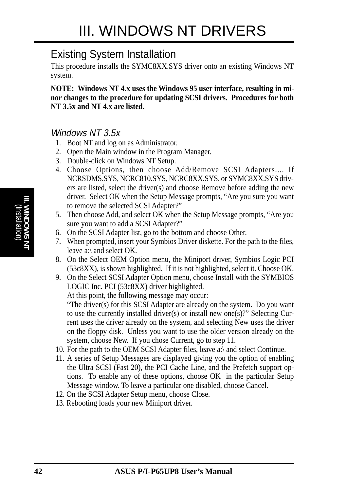### Existing System Installation

This procedure installs the SYMC8XX.SYS driver onto an existing Windows NT system.

**NOTE: Windows NT 4.x uses the Windows 95 user interface, resulting in minor changes to the procedure for updating SCSI drivers. Procedures for both NT 3.5x and NT 4.x are listed.**

#### Windows NT 3.5x

- 1. Boot NT and log on as Administrator.
- 2. Open the Main window in the Program Manager.
- 3. Double-click on Windows NT Setup.
- 4. Choose Options, then choose Add/Remove SCSI Adapters.... If NCRSDMS.SYS, NCRC810.SYS, NCRC8XX.SYS, or SYMC8XX.SYS drivers are listed, select the driver(s) and choose Remove before adding the new driver. Select OK when the Setup Message prompts, "Are you sure you want to remove the selected SCSI Adapter?"
- 5. Then choose Add, and select OK when the Setup Message prompts, "Are you sure you want to add a SCSI Adapter?"
- 6. On the SCSI Adapter list, go to the bottom and choose Other.
- 7. When prompted, insert your Symbios Driver diskette. For the path to the files, leave a:\ and select OK.
- 8. On the Select OEM Option menu, the Miniport driver, Symbios Logic PCI (53c8XX), is shown highlighted. If it is not highlighted, select it. Choose OK.
- 9. On the Select SCSI Adapter Option menu, choose Install with the SYMBIOS LOGIC Inc. PCI (53c8XX) driver highlighted.

At this point, the following message may occur:

"The driver(s) for this SCSI Adapter are already on the system. Do you want to use the currently installed driver(s) or install new one(s)?" Selecting Current uses the driver already on the system, and selecting New uses the driver on the floppy disk. Unless you want to use the older version already on the system, choose New. If you chose Current, go to step 11.

- 10. For the path to the OEM SCSI Adapter files, leave a:\ and select Continue.
- 11. A series of Setup Messages are displayed giving you the option of enabling the Ultra SCSI (Fast 20), the PCI Cache Line, and the Prefetch support options. To enable any of these options, choose OK in the particular Setup Message window. To leave a particular one disabled, choose Cancel.
- 12. On the SCSI Adapter Setup menu, choose Close.
- 13. Rebooting loads your new Miniport driver.

**42 ASUS P/I-P65UP8 User's Manual**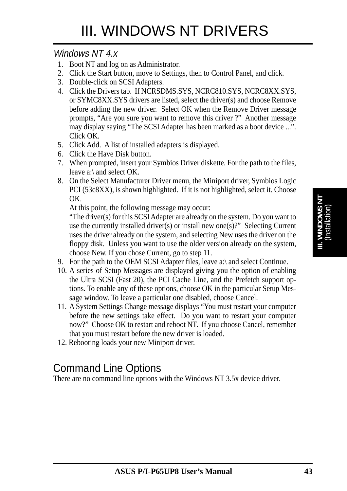#### Windows NT 4.x

- 1. Boot NT and log on as Administrator.
- 2. Click the Start button, move to Settings, then to Control Panel, and click.
- 3. Double-click on SCSI Adapters.
- 4. Click the Drivers tab. If NCRSDMS.SYS, NCRC810.SYS, NCRC8XX.SYS, or SYMC8XX.SYS drivers are listed, select the driver(s) and choose Remove before adding the new driver. Select OK when the Remove Driver message prompts, "Are you sure you want to remove this driver ?" Another message may display saying "The SCSI Adapter has been marked as a boot device ...". Click OK.
- 5. Click Add. A list of installed adapters is displayed.
- 6. Click the Have Disk button.
- 7. When prompted, insert your Symbios Driver diskette. For the path to the files, leave a:\ and select OK.
- 8. On the Select Manufacturer Driver menu, the Miniport driver, Symbios Logic PCI (53c8XX), is shown highlighted. If it is not highlighted, select it. Choose OK.

At this point, the following message may occur:

"The driver(s) for this SCSI Adapter are already on the system. Do you want to use the currently installed driver(s) or install new one(s)?" Selecting Current uses the driver already on the system, and selecting New uses the driver on the floppy disk. Unless you want to use the older version already on the system, choose New. If you chose Current, go to step 11.

- 9. For the path to the OEM SCSI Adapter files, leave a:\ and select Continue.
- 10. A series of Setup Messages are displayed giving you the option of enabling the Ultra SCSI (Fast 20), the PCI Cache Line, and the Prefetch support options. To enable any of these options, choose OK in the particular Setup Message window. To leave a particular one disabled, choose Cancel.
- 11. A System Settings Change message displays "You must restart your computer before the new settings take effect. Do you want to restart your computer now?" Choose OK to restart and reboot NT. If you choose Cancel, remember that you must restart before the new driver is loaded.
- 12. Rebooting loads your new Miniport driver.

### Command Line Options

There are no command line options with the Windows NT 3.5x device driver.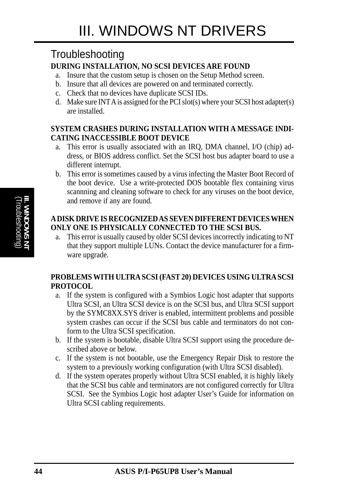### **Troubleshooting**

#### **DURING INSTALLATION, NO SCSI DEVICES ARE FOUND**

- a. Insure that the custom setup is chosen on the Setup Method screen.
- b. Insure that all devices are powered on and terminated correctly.
- c. Check that no devices have duplicate SCSI IDs.
- d. Make sure INT A is assigned for the PCI slot(s) where your SCSI host adapter(s) are installed.

#### **SYSTEM CRASHES DURING INSTALLATION WITH A MESSAGE INDI-CATING INACCESSIBLE BOOT DEVICE**

- a. This error is usually associated with an IRQ, DMA channel, I/O (chip) address, or BIOS address conflict. Set the SCSI host bus adapter board to use a different interrupt.
- b. This error is sometimes caused by a virus infecting the Master Boot Record of the boot device. Use a write-protected DOS bootable flex containing virus scannning and cleaning software to check for any viruses on the boot device, and remove if any are found.

#### **A DISK DRIVE IS RECOGNIZED AS SEVEN DIFFERENT DEVICES WHEN ONLY ONE IS PHYSICALLY CONNECTED TO THE SCSI BUS.**

a. This error is usually caused by older SCSI devices incorrectly indicating to NT that they support multiple LUNs. Contact the device manufacturer for a firmware upgrade.

#### **PROBLEMS WITH ULTRA SCSI (FAST 20) DEVICES USING ULTRA SCSI PROTOCOL**

- a. If the system is configured with a Symbios Logic host adapter that supports Ultra SCSI, an Ultra SCSI device is on the SCSI bus, and Ultra SCSI support by the SYMC8XX.SYS driver is enabled, intermittent problems and possible system crashes can occur if the SCSI bus cable and terminators do not conform to the Ultra SCSI specification.
- b. If the system is bootable, disable Ultra SCSI support using the procedure described above or below.
- c. If the system is not bootable, use the Emergency Repair Disk to restore the system to a previously working configuration (with Ultra SCSI disabled).
- d. If the system operates properly without Ultra SCSI enabled, it is highly likely that the SCSI bus cable and terminators are not configured correctly for Ultra SCSI. See the Symbios Logic host adapter User's Guide for information on Ultra SCSI cabling requirements.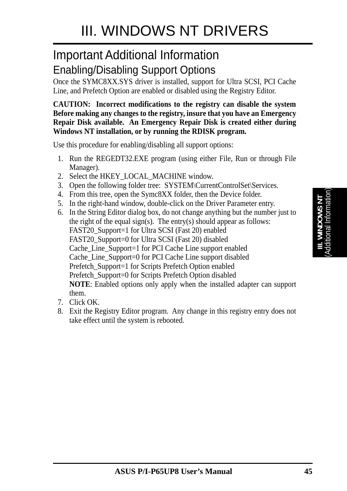### Important Additional Information Enabling/Disabling Support Options

Once the SYMC8XX.SYS driver is installed, support for Ultra SCSI, PCI Cache Line, and Prefetch Option are enabled or disabled using the Registry Editor.

#### **CAUTION: Incorrect modifications to the registry can disable the system Before making any changes to the registry, insure that you have an Emergency Repair Disk available. An Emergency Repair Disk is created either during Windows NT installation, or by running the RDISK program.**

Use this procedure for enabling/disabling all support options:

- 1. Run the REGEDT32.EXE program (using either File, Run or through File Manager).
- 2. Select the HKEY\_LOCAL\_MACHINE window.
- 3. Open the following folder tree: SYSTEM\CurrentControlSet\Services.
- 4. From this tree, open the Symc8XX folder, then the Device folder.
- 5. In the right-hand window, double-click on the Driver Parameter entry.
- 6. In the String Editor dialog box, do not change anything but the number just to the right of the equal sign(s). The entry(s) should appear as follows: FAST20\_Support=1 for Ultra SCSI (Fast 20) enabled FAST20\_Support=0 for Ultra SCSI (Fast 20) disabled Cache Line Support=1 for PCI Cache Line support enabled Cache\_Line\_Support=0 for PCI Cache Line support disabled Prefetch Support=1 for Scripts Prefetch Option enabled Prefetch Support=0 for Scripts Prefetch Option disabled **NOTE**: Enabled options only apply when the installed adapter can support them.
- 7. Click OK.
- 8. Exit the Registry Editor program. Any change in this registry entry does not take effect until the system is rebooted.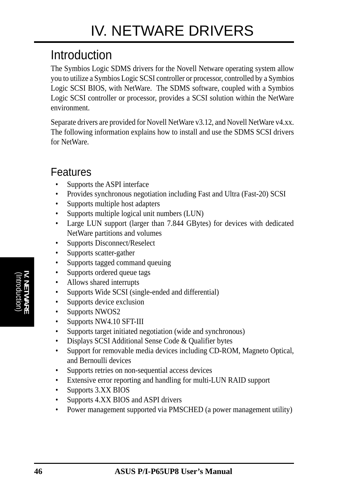### Introduction

The Symbios Logic SDMS drivers for the Novell Netware operating system allow you to utilize a Symbios Logic SCSI controller or processor, controlled by a Symbios Logic SCSI BIOS, with NetWare. The SDMS software, coupled with a Symbios Logic SCSI controller or processor, provides a SCSI solution within the NetWare environment.

Separate drivers are provided for Novell NetWare v3.12, and Novell NetWare v4.xx. The following information explains how to install and use the SDMS SCSI drivers for NetWare.

### Features

- Supports the ASPI interface
- Provides synchronous negotiation including Fast and Ultra (Fast-20) SCSI
- Supports multiple host adapters
- Supports multiple logical unit numbers (LUN)
- Large LUN support (larger than 7.844 GBytes) for devices with dedicated NetWare partitions and volumes
- Supports Disconnect/Reselect
- Supports scatter-gather
- Supports tagged command queuing
- Supports ordered queue tags
- Allows shared interrupts
- Supports Wide SCSI (single-ended and differential)
- Supports device exclusion
- Supports NWOS2
- Supports NW4.10 SFT-III
- Supports target initiated negotiation (wide and synchronous)
- Displays SCSI Additional Sense Code & Qualifier bytes
- Support for removable media devices including CD-ROM, Magneto Optical, and Bernoulli devices
- Supports retries on non-sequential access devices
- Extensive error reporting and handling for multi-LUN RAID support
- Supports 3.XX BIOS
- Supports 4.XX BIOS and ASPI drivers
- Power management supported via PMSCHED (a power management utility)

**46 ASUS P/I-P65UP8 User's Manual**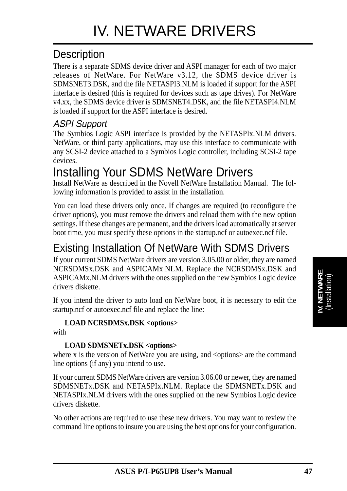### **Description**

There is a separate SDMS device driver and ASPI manager for each of two major releases of NetWare. For NetWare v3.12, the SDMS device driver is SDMSNET3.DSK, and the file NETASPI3.NLM is loaded if support for the ASPI interface is desired (this is required for devices such as tape drives). For NetWare v4.xx, the SDMS device driver is SDMSNET4.DSK, and the file NETASPI4.NLM is loaded if support for the ASPI interface is desired.

#### ASPI Support

The Symbios Logic ASPI interface is provided by the NETASPIx.NLM drivers. NetWare, or third party applications, may use this interface to communicate with any SCSI-2 device attached to a Symbios Logic controller, including SCSI-2 tape devices.

### Installing Your SDMS NetWare Drivers

Install NetWare as described in the Novell NetWare Installation Manual. The following information is provided to assist in the installation.

You can load these drivers only once. If changes are required (to reconfigure the driver options), you must remove the drivers and reload them with the new option settings. If these changes are permanent, and the drivers load automatically at server boot time, you must specify these options in the startup.ncf or autoexec.ncf file.

### Existing Installation Of NetWare With SDMS Drivers

If your current SDMS NetWare drivers are version 3.05.00 or older, they are named NCRSDMSx.DSK and ASPICAMx.NLM. Replace the NCRSDMSx.DSK and ASPICAMx.NLM drivers with the ones supplied on the new Symbios Logic device drivers diskette.

If you intend the driver to auto load on NetWare boot, it is necessary to edit the startup.ncf or autoexec.ncf file and replace the line:

### **LOAD NCRSDMSx.DSK <options>**

with

#### **LOAD SDMSNETx.DSK <options>**

where x is the version of NetWare you are using, and  $\leq$  options $\geq$  are the command line options (if any) you intend to use.

If your current SDMS NetWare drivers are version 3.06.00 or newer, they are named SDMSNETx.DSK and NETASPIx.NLM. Replace the SDMSNETx.DSK and NETASPIx.NLM drivers with the ones supplied on the new Symbios Logic device drivers diskette.

No other actions are required to use these new drivers. You may want to review the command line options to insure you are using the best options for your configuration.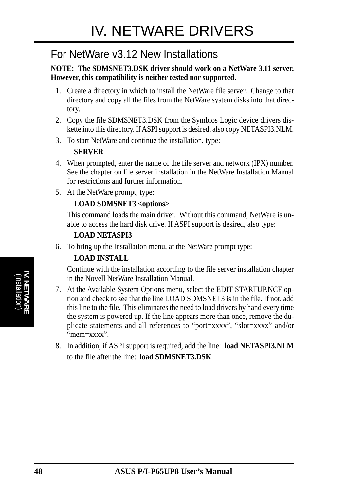### For NetWare v3.12 New Installations

#### **NOTE: The SDMSNET3.DSK driver should work on a NetWare 3.11 server. However, this compatibility is neither tested nor supported.**

- 1. Create a directory in which to install the NetWare file server. Change to that directory and copy all the files from the NetWare system disks into that directory.
- 2. Copy the file SDMSNET3.DSK from the Symbios Logic device drivers diskette into this directory. If ASPI support is desired, also copy NETASPI3.NLM.
- 3. To start NetWare and continue the installation, type:

#### **SERVER**

- 4. When prompted, enter the name of the file server and network (IPX) number. See the chapter on file server installation in the NetWare Installation Manual for restrictions and further information.
- 5. At the NetWare prompt, type:

#### **LOAD SDMSNET3 <options>**

This command loads the main driver. Without this command, NetWare is unable to access the hard disk drive. If ASPI support is desired, also type:

#### **LOAD NETASPI3**

6. To bring up the Installation menu, at the NetWare prompt type:

#### **LOAD INSTALL**

Continue with the installation according to the file server installation chapter in the Novell NetWare Installation Manual.

- 7. At the Available System Options menu, select the EDIT STARTUP.NCF option and check to see that the line LOAD SDMSNET3 is in the file. If not, add this line to the file. This eliminates the need to load drivers by hand every time the system is powered up. If the line appears more than once, remove the duplicate statements and all references to "port=xxxx", "slot=xxxx" and/or "mem=xxxx".
- 8. In addition, if ASPI support is required, add the line: **load NETASPI3.NLM** to the file after the line: **load SDMSNET3.DSK**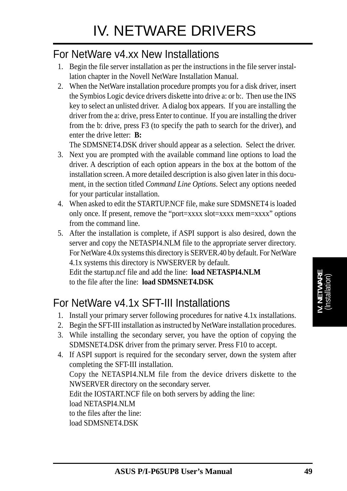### For NetWare v4.xx New Installations

- 1. Begin the file server installation as per the instructions in the file server installation chapter in the Novell NetWare Installation Manual.
- 2. When the NetWare installation procedure prompts you for a disk driver, insert the Symbios Logic device drivers diskette into drive a: or b:. Then use the INS key to select an unlisted driver. A dialog box appears. If you are installing the driver from the a: drive, press Enter to continue. If you are installing the driver from the b: drive, press F3 (to specify the path to search for the driver), and enter the drive letter: **B:**

The SDMSNET4.DSK driver should appear as a selection. Select the driver.

- 3. Next you are prompted with the available command line options to load the driver. A description of each option appears in the box at the bottom of the installation screen. A more detailed description is also given later in this document, in the section titled *Command Line Options*. Select any options needed for your particular installation.
- 4. When asked to edit the STARTUP.NCF file, make sure SDMSNET4 is loaded only once. If present, remove the "port=xxxx slot=xxxx mem=xxxx" options from the command line.
- 5. After the installation is complete, if ASPI support is also desired, down the server and copy the NETASPI4.NLM file to the appropriate server directory. For NetWare 4.0x systems this directory is SERVER.40 by default. For NetWare 4.1x systems this directory is NWSERVER by default. Edit the startup.ncf file and add the line: **load NETASPI4.NLM** to the file after the line: **load SDMSNET4.DSK**

### For NetWare v4.1x SFT-III Installations

- 1. Install your primary server following procedures for native 4.1x installations.
- 2. Begin the SFT-III installation as instructed by NetWare installation procedures.
- 3. While installing the secondary server, you have the option of copying the SDMSNET4.DSK driver from the primary server. Press F10 to accept.
- 4. If ASPI support is required for the secondary server, down the system after completing the SFT-III installation. Copy the NETASPI4.NLM file from the device drivers diskette to the NWSERVER directory on the secondary server. Edit the IOSTART.NCF file on both servers by adding the line: load NETASPI4.NLM to the files after the line: load SDMSNET4.DSK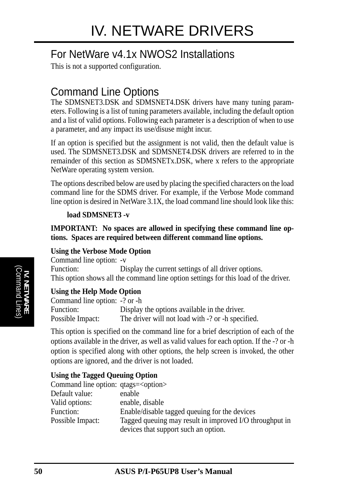### For NetWare v4.1x NWOS2 Installations

This is not a supported configuration.

### Command Line Options

The SDMSNET3.DSK and SDMSNET4.DSK drivers have many tuning parameters. Following is a list of tuning parameters available, including the default option and a list of valid options. Following each parameter is a description of when to use a parameter, and any impact its use/disuse might incur.

If an option is specified but the assignment is not valid, then the default value is used. The SDMSNET3.DSK and SDMSNET4.DSK drivers are referred to in the remainder of this section as SDMSNETx.DSK, where x refers to the appropriate NetWare operating system version.

The options described below are used by placing the specified characters on the load command line for the SDMS driver. For example, if the Verbose Mode command line option is desired in NetWare 3.1X, the load command line should look like this:

#### **load SDMSNET3 -v**

**IMPORTANT: No spaces are allowed in specifying these command line options. Spaces are required between different command line options.**

#### **Using the Verbose Mode Option**

Command line option: -v Function: Display the current settings of all driver options. This option shows all the command line option settings for this load of the driver.

#### **Using the Help Mode Option**

Command line option: -? or -h Function: Display the options available in the driver. Possible Impact: The driver will not load with -? or -h specified.

This option is specified on the command line for a brief description of each of the options available in the driver, as well as valid values for each option. If the -? or -h option is specified along with other options, the help screen is invoked, the other options are ignored, and the driver is not loaded.

#### **Using the Tagged Queuing Option**

| Command line option: $qtags = <$ option> |                                                         |
|------------------------------------------|---------------------------------------------------------|
| Default value:                           | enable                                                  |
| Valid options:                           | enable, disable                                         |
| Function:                                | Enable/disable tagged queuing for the devices           |
| Possible Impact:                         | Tagged queuing may result in improved I/O throughput in |
|                                          | devices that support such an option.                    |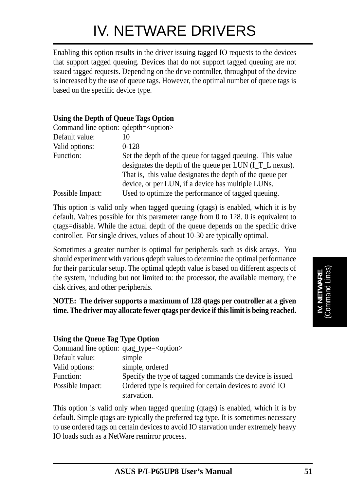# **IV. NETWARE** (Command Lines)

# IV. NETWARE DRIVERS

Enabling this option results in the driver issuing tagged IO requests to the devices that support tagged queuing. Devices that do not support tagged queuing are not issued tagged requests. Depending on the drive controller, throughput of the device is increased by the use of queue tags. However, the optimal number of queue tags is based on the specific device type.

#### **Using the Depth of Queue Tags Option**

| Command line option: qdepth= <option></option> |                                                            |
|------------------------------------------------|------------------------------------------------------------|
| Default value:                                 | 10                                                         |
| Valid options:                                 | $0-128$                                                    |
| Function:                                      | Set the depth of the queue for tagged queuing. This value  |
|                                                | designates the depth of the queue per LUN $(I_T_L$ nexus). |
|                                                | That is, this value designates the depth of the queue per  |
|                                                | device, or per LUN, if a device has multiple LUNs.         |
| Possible Impact:                               | Used to optimize the performance of tagged queuing.        |

This option is valid only when tagged queuing (qtags) is enabled, which it is by default. Values possible for this parameter range from 0 to 128. 0 is equivalent to qtags=disable. While the actual depth of the queue depends on the specific drive controller. For single drives, values of about 10-30 are typically optimal.

Sometimes a greater number is optimal for peripherals such as disk arrays. You should experiment with various qdepth values to determine the optimal performance for their particular setup. The optimal qdepth value is based on different aspects of the system, including but not limited to: the processor, the available memory, the disk drives, and other peripherals.

#### **NOTE: The driver supports a maximum of 128 qtags per controller at a given time. The driver may allocate fewer qtags per device if this limit is being reached.**

#### **Using the Queue Tag Type Option**

| Command line option: qtag_type= <option></option> |                                                           |
|---------------------------------------------------|-----------------------------------------------------------|
| Default value:                                    | simple                                                    |
| Valid options:                                    | simple, ordered                                           |
| Function:                                         | Specify the type of tagged commands the device is issued. |
| Possible Impact:                                  | Ordered type is required for certain devices to avoid IO  |
|                                                   | starvation.                                               |

This option is valid only when tagged queuing (qtags) is enabled, which it is by default. Simple qtags are typically the preferred tag type. It is sometimes necessary to use ordered tags on certain devices to avoid IO starvation under extremely heavy IO loads such as a NetWare remirror process.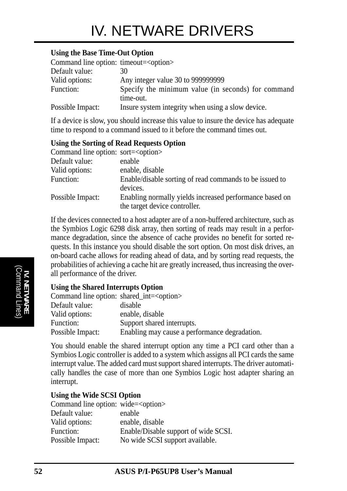#### **Using the Base Time-Out Option**

| Command line option: timeout= <option></option> |                                                                 |
|-------------------------------------------------|-----------------------------------------------------------------|
| Default value:                                  | 30                                                              |
| Valid options:                                  | Any integer value 30 to 999999999                               |
| Function:                                       | Specify the minimum value (in seconds) for command<br>time-out. |
| Possible Impact:                                | Insure system integrity when using a slow device.               |

If a device is slow, you should increase this value to insure the device has adequate time to respond to a command issued to it before the command times out.

#### **Using the Sorting of Read Requests Option**

| Command line option: sort= <option></option>            |
|---------------------------------------------------------|
| enable                                                  |
| enable, disable                                         |
| Enable/disable sorting of read commands to be issued to |
| devices.                                                |
| Enabling normally yields increased performance based on |
| the target device controller.                           |
|                                                         |

If the devices connected to a host adapter are of a non-buffered architecture, such as the Symbios Logic 6298 disk array, then sorting of reads may result in a performance degradation, since the absence of cache provides no benefit for sorted requests. In this instance you should disable the sort option. On most disk drives, an on-board cache allows for reading ahead of data, and by sorting read requests, the probabilities of achieving a cache hit are greatly increased, thus increasing the overall performance of the driver.

#### **Using the Shared Interrupts Option**

| Command line option: shared int= <option></option> |                                               |
|----------------------------------------------------|-----------------------------------------------|
| Default value:                                     | disable                                       |
| Valid options:                                     | enable, disable                               |
| Function:                                          | Support shared interrupts.                    |
| Possible Impact:                                   | Enabling may cause a performance degradation. |

You should enable the shared interrupt option any time a PCI card other than a Symbios Logic controller is added to a system which assigns all PCI cards the same interrupt value. The added card must support shared interrupts. The driver automatically handles the case of more than one Symbios Logic host adapter sharing an interrupt.

#### **Using the Wide SCSI Option**

| Command line option: wide= <option></option> |                                      |
|----------------------------------------------|--------------------------------------|
| Default value:                               | enable                               |
| Valid options:                               | enable, disable                      |
| Function:                                    | Enable/Disable support of wide SCSI. |
| Possible Impact:                             | No wide SCSI support available.      |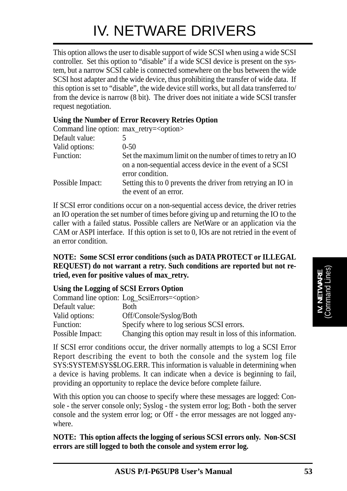This option allows the user to disable support of wide SCSI when using a wide SCSI controller. Set this option to "disable" if a wide SCSI device is present on the system, but a narrow SCSI cable is connected somewhere on the bus between the wide SCSI host adapter and the wide device, thus prohibiting the transfer of wide data. If this option is set to "disable", the wide device still works, but all data transferred to/ from the device is narrow (8 bit). The driver does not initiate a wide SCSI transfer request negotiation.

#### **Using the Number of Error Recovery Retries Option**

| Command line option: max_retry= <option></option> |                                                                                                                                             |
|---------------------------------------------------|---------------------------------------------------------------------------------------------------------------------------------------------|
| Default value:                                    |                                                                                                                                             |
| Valid options:                                    | $0 - 50$                                                                                                                                    |
| Function:                                         | Set the maximum limit on the number of times to retry an IO<br>on a non-sequential access device in the event of a SCSI<br>error condition. |
| Possible Impact:                                  | Setting this to 0 prevents the driver from retrying an IO in<br>the event of an error.                                                      |

If SCSI error conditions occur on a non-sequential access device, the driver retries an IO operation the set number of times before giving up and returning the IO to the caller with a failed status. Possible callers are NetWare or an application via the CAM or ASPI interface. If this option is set to 0, IOs are not retried in the event of an error condition.

**NOTE: Some SCSI error conditions (such as DATA PROTECT or ILLEGAL REQUEST) do not warrant a retry. Such conditions are reported but not retried, even for positive values of max\_retry.**

#### **Using the Logging of SCSI Errors Option**

|                  | Command line option: Log_ScsiErrors= <option></option>       |
|------------------|--------------------------------------------------------------|
| Default value:   | <b>Both</b>                                                  |
| Valid options:   | Off/Console/Syslog/Both                                      |
| Function:        | Specify where to log serious SCSI errors.                    |
| Possible Impact: | Changing this option may result in loss of this information. |

If SCSI error conditions occur, the driver normally attempts to log a SCSI Error Report describing the event to both the console and the system log file SYS:SYSTEM\SYS\$LOG.ERR. This information is valuable in determining when a device is having problems. It can indicate when a device is beginning to fail, providing an opportunity to replace the device before complete failure.

With this option you can choose to specify where these messages are logged: Console - the server console only; Syslog - the system error log; Both - both the server console and the system error log; or Off - the error messages are not logged anywhere.

**NOTE: This option affects the logging of serious SCSI errors only. Non-SCSI errors are still logged to both the console and system error log.**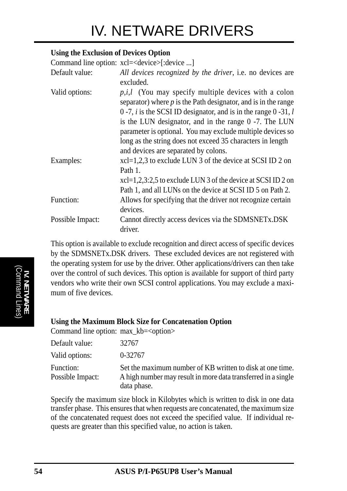#### **Using the Exclusion of Devices Option**

Command line option: xcl=<device>[:device ...]

| Default value:   | All devices recognized by the driver, i.e. no devices are<br>excluded.                                                                                                                                                                                                                                                                                                                |
|------------------|---------------------------------------------------------------------------------------------------------------------------------------------------------------------------------------------------------------------------------------------------------------------------------------------------------------------------------------------------------------------------------------|
| Valid options:   | $p,i,l$ (You may specify multiple devices with a colon<br>separator) where $p$ is the Path designator, and is in the range<br>0 -7, i is the SCSI ID designator, and is in the range $0 - 31$ , l<br>is the LUN designator, and in the range 0-7. The LUN<br>parameter is optional. You may exclude multiple devices so<br>long as the string does not exceed 35 characters in length |
| Examples:        | and devices are separated by colons.<br>$xcl=1,2,3$ to exclude LUN 3 of the device at SCSI ID 2 on<br>Path 1.<br>$xcl=1,2,3:2,5$ to exclude LUN 3 of the device at SCSI ID 2 on                                                                                                                                                                                                       |
| Function:        | Path 1, and all LUNs on the device at SCSI ID 5 on Path 2.<br>Allows for specifying that the driver not recognize certain<br>devices.                                                                                                                                                                                                                                                 |
| Possible Impact: | Cannot directly access devices via the SDMSNETx.DSK<br>driver.                                                                                                                                                                                                                                                                                                                        |

This option is available to exclude recognition and direct access of specific devices by the SDMSNETx.DSK drivers. These excluded devices are not registered with the operating system for use by the driver. Other applications/drivers can then take over the control of such devices. This option is available for support of third party vendors who write their own SCSI control applications. You may exclude a maximum of five devices.

#### **Using the Maximum Block Size for Concatenation Option**

Command line option: max\_kb=<option>

| Default value:                | 32767                                                                                                                                     |
|-------------------------------|-------------------------------------------------------------------------------------------------------------------------------------------|
| Valid options:                | 0-32767                                                                                                                                   |
| Function:<br>Possible Impact: | Set the maximum number of KB written to disk at one time.<br>A high number may result in more data transferred in a single<br>data phase. |

Specify the maximum size block in Kilobytes which is written to disk in one data transfer phase. This ensures that when requests are concatenated, the maximum size of the concatenated request does not exceed the specified value. If individual requests are greater than this specified value, no action is taken.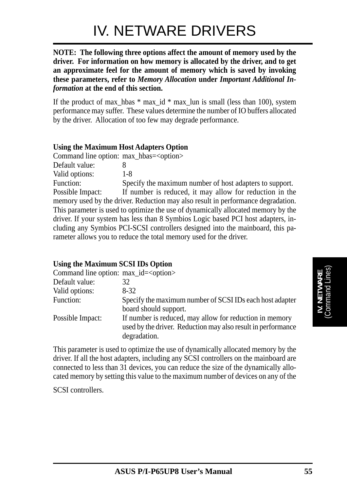**NOTE: The following three options affect the amount of memory used by the driver. For information on how memory is allocated by the driver, and to get an approximate feel for the amount of memory which is saved by invoking these parameters, refer to** *Memory Allocation* **under** *Important Additional Information* **at the end of this section.**

If the product of max hbas  $*$  max id  $*$  max lun is small (less than 100), system performance may suffer. These values determine the number of IO buffers allocated by the driver. Allocation of too few may degrade performance.

#### **Using the Maximum Host Adapters Option**

Command line option: max hbas=<option> Default value: 8 Valid options: 1-8 Function: Specify the maximum number of host adapters to support. Possible Impact: If number is reduced, it may allow for reduction in the memory used by the driver. Reduction may also result in performance degradation. This parameter is used to optimize the use of dynamically allocated memory by the driver. If your system has less than 8 Symbios Logic based PCI host adapters, including any Symbios PCI-SCSI controllers designed into the mainboard, this parameter allows you to reduce the total memory used for the driver.

#### **Using the Maximum SCSI IDs Option**

| Command line option: max_id= <option></option> |                                                              |
|------------------------------------------------|--------------------------------------------------------------|
| Default value:                                 | 32                                                           |
| Valid options:                                 | $8-32$                                                       |
| Function:                                      | Specify the maximum number of SCSI IDs each host adapter     |
|                                                | board should support.                                        |
| Possible Impact:                               | If number is reduced, may allow for reduction in memory      |
|                                                | used by the driver. Reduction may also result in performance |
|                                                | degradation.                                                 |

This parameter is used to optimize the use of dynamically allocated memory by the driver. If all the host adapters, including any SCSI controllers on the mainboard are connected to less than 31 devices, you can reduce the size of the dynamically allocated memory by setting this value to the maximum number of devices on any of the

SCSI controllers.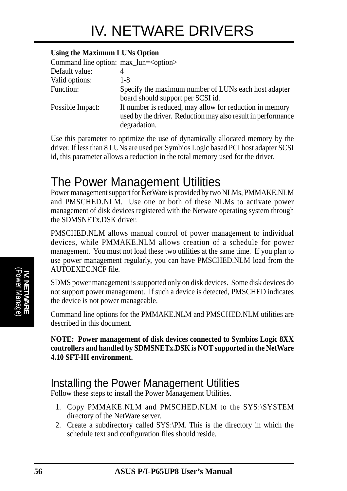#### **Using the Maximum LUNs Option**

| Command line option: max_lun= <option></option> |                                                                                                                                         |
|-------------------------------------------------|-----------------------------------------------------------------------------------------------------------------------------------------|
| Default value:                                  |                                                                                                                                         |
| Valid options:                                  | $1 - 8$                                                                                                                                 |
| Function:                                       | Specify the maximum number of LUNs each host adapter                                                                                    |
|                                                 | board should support per SCSI id.                                                                                                       |
| Possible Impact:                                | If number is reduced, may allow for reduction in memory<br>used by the driver. Reduction may also result in performance<br>degradation. |

Use this parameter to optimize the use of dynamically allocated memory by the driver. If less than 8 LUNs are used per Symbios Logic based PCI host adapter SCSI id, this parameter allows a reduction in the total memory used for the driver.

### The Power Management Utilities

Power management support for NetWare is provided by two NLMs, PMMAKE.NLM and PMSCHED.NLM. Use one or both of these NLMs to activate power management of disk devices registered with the Netware operating system through the SDMSNETx.DSK driver.

PMSCHED.NLM allows manual control of power management to individual devices, while PMMAKE.NLM allows creation of a schedule for power management. You must not load these two utilities at the same time. If you plan to use power management regularly, you can have PMSCHED.NLM load from the AUTOEXEC.NCF file.

SDMS power management is supported only on disk devices. Some disk devices do not support power management. If such a device is detected, PMSCHED indicates the device is not power manageable.

Command line options for the PMMAKE.NLM and PMSCHED.NLM utilities are described in this document.

**NOTE: Power management of disk devices connected to Symbios Logic 8XX controllers and handled by SDMSNETx.DSK is NOT supported in the NetWare 4.10 SFT-III environment.**

### Installing the Power Management Utilities

Follow these steps to install the Power Management Utilities.

- 1. Copy PMMAKE.NLM and PMSCHED.NLM to the SYS:\SYSTEM directory of the NetWare server.
- 2. Create a subdirectory called SYS:\PM. This is the directory in which the schedule text and configuration files should reside.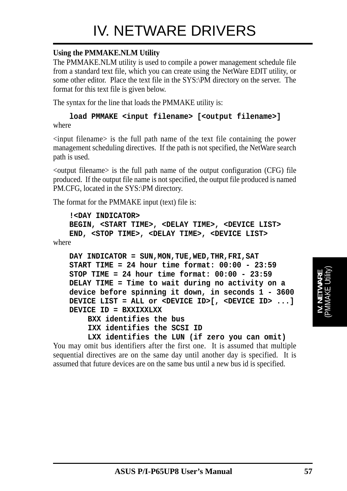#### **Using the PMMAKE.NLM Utility**

The PMMAKE.NLM utility is used to compile a power management schedule file from a standard text file, which you can create using the NetWare EDIT utility, or some other editor. Place the text file in the SYS:\PM directory on the server. The format for this text file is given below.

The syntax for the line that loads the PMMAKE utility is:

```
load PMMAKE <input filename> [<output filename>]
where
```
<input filename> is the full path name of the text file containing the power management scheduling directives. If the path is not specified, the NetWare search path is used.

 $\alpha$  soutput filename is the full path name of the output configuration (CFG) file produced. If the output file name is not specified, the output file produced is named PM.CFG, located in the SYS:\PM directory.

The format for the PMMAKE input (text) file is:

```
!<DAY INDICATOR>
   BEGIN, <START TIME>, <DELAY TIME>, <DEVICE LIST>
   END, <STOP TIME>, <DELAY TIME>, <DEVICE LIST>
where
   DAY INDICATOR = SUN, MON, TUE, WED, THR, FRI, SAT
   START TIME = 24 hour time format: 00:00 - 23:59
   STOP TIME = 24 hour time format: 00:00 - 23:59
   DELAY TIME = Time to wait during no activity on a
   device before spinning it down, in seconds 1 - 3600
```
**DEVICE LIST = ALL or <DEVICE ID>[, <DEVICE ID> ...] DEVICE ID = BXXIXXLXX BXX identifies the bus**

```
IXX identifies the SCSI ID
```
**LXX identifies the LUN (if zero you can omit)** You may omit bus identifiers after the first one. It is assumed that multiple sequential directives are on the same day until another day is specified. It is assumed that future devices are on the same bus until a new bus id is specified.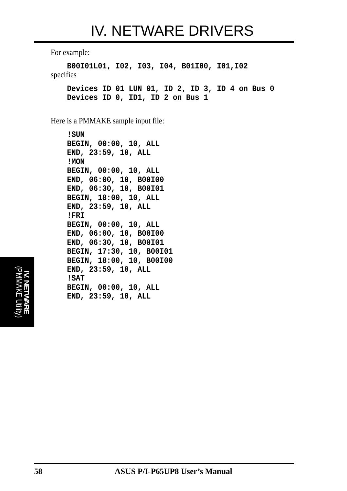For example:

**B00I01L01, I02, I03, I04, B01I00, I01,I02** specifies **Devices ID 01 LUN 01, ID 2, ID 3, ID 4 on Bus 0 Devices ID 0, ID1, ID 2 on Bus 1** Here is a PMMAKE sample input file: **!SUN BEGIN, 00:00, 10, ALL END, 23:59, 10, ALL !MON BEGIN, 00:00, 10, ALL END, 06:00, 10, B00I00 END, 06:30, 10, B00I01 BEGIN, 18:00, 10, ALL END, 23:59, 10, ALL !FRI BEGIN, 00:00, 10, ALL END, 06:00, 10, B00I00 END, 06:30, 10, B00I01 BEGIN, 17:30, 10, B00I01**

**BEGIN, 18:00, 10, B00I00 END, 23:59, 10, ALL !SAT BEGIN, 00:00, 10, ALL END, 23:59, 10, ALL**

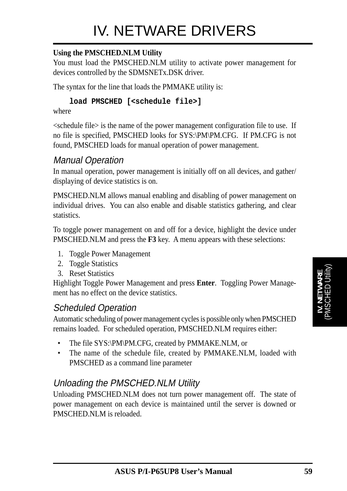#### **Using the PMSCHED.NLM Utility**

You must load the PMSCHED.NLM utility to activate power management for devices controlled by the SDMSNETx.DSK driver.

The syntax for the line that loads the PMMAKE utility is:

#### **load PMSCHED [<schedule file>]**

where

<schedule file> is the name of the power management configuration file to use. If no file is specified, PMSCHED looks for SYS:\PM\PM.CFG. If PM.CFG is not found, PMSCHED loads for manual operation of power management.

#### Manual Operation

In manual operation, power management is initially off on all devices, and gather/ displaying of device statistics is on.

PMSCHED.NLM allows manual enabling and disabling of power management on individual drives. You can also enable and disable statistics gathering, and clear statistics.

To toggle power management on and off for a device, highlight the device under PMSCHED.NLM and press the **F3** key. A menu appears with these selections:

- 1. Toggle Power Management
- 2. Toggle Statistics
- 3. Reset Statistics

Highlight Toggle Power Management and press **Enter**. Toggling Power Management has no effect on the device statistics.

#### Scheduled Operation

Automatic scheduling of power management cycles is possible only when PMSCHED remains loaded. For scheduled operation, PMSCHED.NLM requires either:

- The file SYS:\PM\PM.CFG, created by PMMAKE.NLM, or
- The name of the schedule file, created by PMMAKE.NLM, loaded with PMSCHED as a command line parameter

### Unloading the PMSCHED.NLM Utility

Unloading PMSCHED.NLM does not turn power management off. The state of power management on each device is maintained until the server is downed or PMSCHED.NLM is reloaded.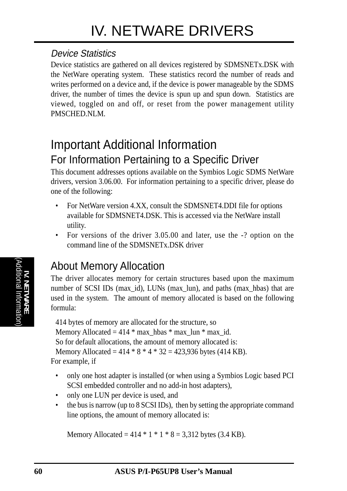### Device Statistics

Device statistics are gathered on all devices registered by SDMSNETx.DSK with the NetWare operating system. These statistics record the number of reads and writes performed on a device and, if the device is power manageable by the SDMS driver, the number of times the device is spun up and spun down. Statistics are viewed, toggled on and off, or reset from the power management utility PMSCHED.NLM.

### Important Additional Information For Information Pertaining to a Specific Driver

This document addresses options available on the Symbios Logic SDMS NetWare drivers, version 3.06.00. For information pertaining to a specific driver, please do one of the following:

- For NetWare version 4.XX, consult the SDMSNET4.DDI file for options available for SDMSNET4.DSK. This is accessed via the NetWare install utility.
- For versions of the driver 3.05.00 and later, use the -? option on the command line of the SDMSNETx.DSK driver

### About Memory Allocation

The driver allocates memory for certain structures based upon the maximum number of SCSI IDs (max\_id), LUNs (max\_lun), and paths (max\_hbas) that are used in the system. The amount of memory allocated is based on the following formula:

414 bytes of memory are allocated for the structure, so Memory Allocated =  $414 * max_{hbas} * max_{lun} * max_{id.}$ So for default allocations, the amount of memory allocated is: Memory Allocated =  $414 * 8 * 4 * 32 = 423,936$  bytes (414 KB). For example, if

- only one host adapter is installed (or when using a Symbios Logic based PCI SCSI embedded controller and no add-in host adapters),
- only one LUN per device is used, and
- the bus is narrow (up to 8 SCSI IDs), then by setting the appropriate command line options, the amount of memory allocated is:

Memory Allocated =  $414 * 1 * 1 * 8 = 3,312$  bytes (3.4 KB).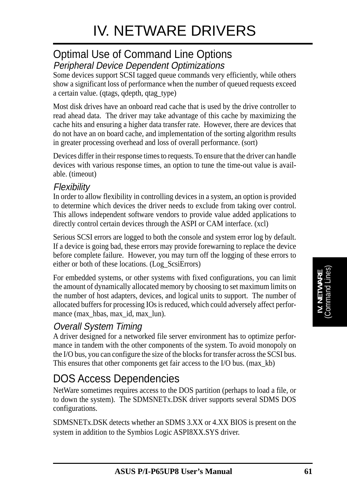### Optimal Use of Command Line Options Peripheral Device Dependent Optimizations

Some devices support SCSI tagged queue commands very efficiently, while others show a significant loss of performance when the number of queued requests exceed a certain value. (qtags, qdepth, qtag\_type)

Most disk drives have an onboard read cache that is used by the drive controller to read ahead data. The driver may take advantage of this cache by maximizing the cache hits and ensuring a higher data transfer rate. However, there are devices that do not have an on board cache, and implementation of the sorting algorithm results in greater processing overhead and loss of overall performance. (sort)

Devices differ in their response times to requests. To ensure that the driver can handle devices with various response times, an option to tune the time-out value is available. (timeout)

#### **Flexibility**

In order to allow flexibility in controlling devices in a system, an option is provided to determine which devices the driver needs to exclude from taking over control. This allows independent software vendors to provide value added applications to directly control certain devices through the ASPI or CAM interface. (xcl)

Serious SCSI errors are logged to both the console and system error log by default. If a device is going bad, these errors may provide forewarning to replace the device before complete failure. However, you may turn off the logging of these errors to either or both of these locations. (Log\_ScsiErrors)

For embedded systems, or other systems with fixed configurations, you can limit the amount of dynamically allocated memory by choosing to set maximum limits on the number of host adapters, devices, and logical units to support. The number of allocated buffers for processing IOs is reduced, which could adversely affect performance (max hbas, max id, max lun).

#### Overall System Timing

A driver designed for a networked file server environment has to optimize performance in tandem with the other components of the system. To avoid monopoly on the I/O bus, you can configure the size of the blocks for transfer across the SCSI bus. This ensures that other components get fair access to the I/O bus. (max\_kb)

### DOS Access Dependencies

NetWare sometimes requires access to the DOS partition (perhaps to load a file, or to down the system). The SDMSNETx.DSK driver supports several SDMS DOS configurations.

SDMSNETx.DSK detects whether an SDMS 3.XX or 4.XX BIOS is present on the system in addition to the Symbios Logic ASPI8XX.SYS driver.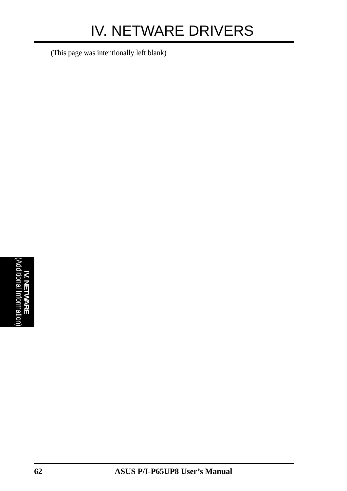(This page was intentionally left blank)

**62 ASUS P/I-P65UP8 User's Manual**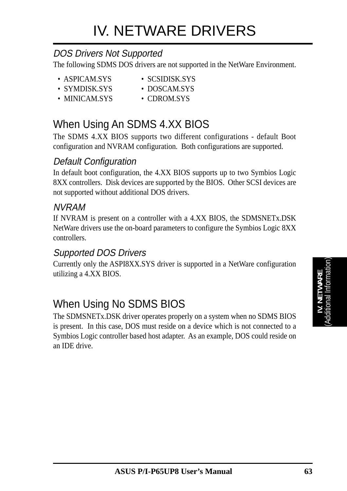#### DOS Drivers Not Supported

The following SDMS DOS drivers are not supported in the NetWare Environment.

- ASPICAM.SYS SCSIDISK.SYS
	-
- 
- SYMDISK.SYS DOSCAM.SYS
- MINICAM.SYS CDROM.SYS

### When Using An SDMS 4.XX BIOS

The SDMS 4.XX BIOS supports two different configurations - default Boot configuration and NVRAM configuration. Both configurations are supported.

#### Default Configuration

In default boot configuration, the 4.XX BIOS supports up to two Symbios Logic 8XX controllers. Disk devices are supported by the BIOS. Other SCSI devices are not supported without additional DOS drivers.

#### NVRAM

If NVRAM is present on a controller with a 4.XX BIOS, the SDMSNETx.DSK NetWare drivers use the on-board parameters to configure the Symbios Logic 8XX controllers.

#### Supported DOS Drivers

Currently only the ASPI8XX.SYS driver is supported in a NetWare configuration utilizing a 4.XX BIOS.

### When Using No SDMS BIOS

The SDMSNETx.DSK driver operates properly on a system when no SDMS BIOS is present. In this case, DOS must reside on a device which is not connected to a Symbios Logic controller based host adapter. As an example, DOS could reside on an IDE drive.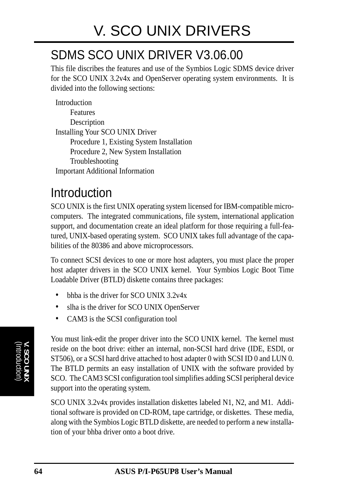### SDMS SCO UNIX DRIVER V3.06.00

This file discribes the features and use of the Symbios Logic SDMS device driver for the SCO UNIX 3.2v4x and OpenServer operating system environments. It is divided into the following sections:

Introduction Features Description Installing Your SCO UNIX Driver Procedure 1, Existing System Installation Procedure 2, New System Installation Troubleshooting Important Additional Information

### Introduction

SCO UNIX is the first UNIX operating system licensed for IBM-compatible microcomputers. The integrated communications, file system, international application support, and documentation create an ideal platform for those requiring a full-featured, UNIX-based operating system. SCO UNIX takes full advantage of the capabilities of the 80386 and above microprocessors.

To connect SCSI devices to one or more host adapters, you must place the proper host adapter drivers in the SCO UNIX kernel. Your Symbios Logic Boot Time Loadable Driver (BTLD) diskette contains three packages:

- bhba is the driver for SCO UNIX 3.2v4x
- slha is the driver for SCO UNIX OpenServer
- CAM3 is the SCSI configuration tool

You must link-edit the proper driver into the SCO UNIX kernel. The kernel must reside on the boot drive: either an internal, non-SCSI hard drive (IDE, ESDI, or ST506), or a SCSI hard drive attached to host adapter 0 with SCSI ID 0 and LUN 0. The BTLD permits an easy installation of UNIX with the software provided by SCO. The CAM3 SCSI configuration tool simplifies adding SCSI peripheral device support into the operating system.

SCO UNIX 3.2v4x provides installation diskettes labeled N1, N2, and M1. Additional software is provided on CD-ROM, tape cartridge, or diskettes. These media, along with the Symbios Logic BTLD diskette, are needed to perform a new installation of your bhba driver onto a boot drive.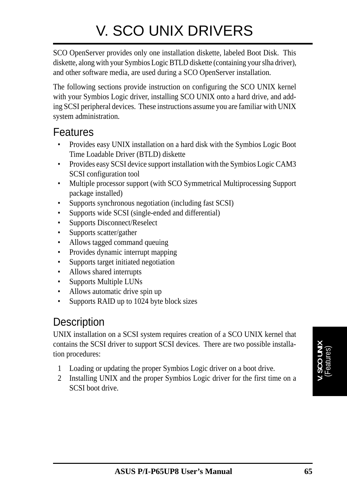SCO OpenServer provides only one installation diskette, labeled Boot Disk. This diskette, along with your Symbios Logic BTLD diskette (containing your slha driver), and other software media, are used during a SCO OpenServer installation.

The following sections provide instruction on configuring the SCO UNIX kernel with your Symbios Logic driver, installing SCO UNIX onto a hard drive, and adding SCSI peripheral devices. These instructions assume you are familiar with UNIX system administration.

### Features

- Provides easy UNIX installation on a hard disk with the Symbios Logic Boot Time Loadable Driver (BTLD) diskette
- Provides easy SCSI device support installation with the Symbios Logic CAM3 SCSI configuration tool
- Multiple processor support (with SCO Symmetrical Multiprocessing Support package installed)
- Supports synchronous negotiation (including fast SCSI)
- Supports wide SCSI (single-ended and differential)
- Supports Disconnect/Reselect
- Supports scatter/gather
- Allows tagged command queuing
- Provides dynamic interrupt mapping
- Supports target initiated negotiation
- Allows shared interrupts
- Supports Multiple LUNs
- Allows automatic drive spin up
- Supports RAID up to 1024 byte block sizes

### **Description**

UNIX installation on a SCSI system requires creation of a SCO UNIX kernel that contains the SCSI driver to support SCSI devices. There are two possible installation procedures:

- 1 Loading or updating the proper Symbios Logic driver on a boot drive.
- 2 Installing UNIX and the proper Symbios Logic driver for the first time on a SCSI boot drive.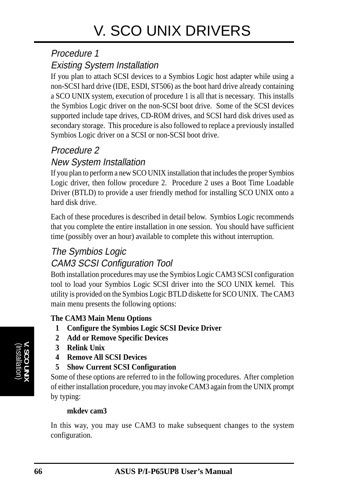### Procedure 1 Existing System Installation

If you plan to attach SCSI devices to a Symbios Logic host adapter while using a non-SCSI hard drive (IDE, ESDI, ST506) as the boot hard drive already containing a SCO UNIX system, execution of procedure 1 is all that is necessary. This installs the Symbios Logic driver on the non-SCSI boot drive. Some of the SCSI devices supported include tape drives, CD-ROM drives, and SCSI hard disk drives used as secondary storage. This procedure is also followed to replace a previously installed Symbios Logic driver on a SCSI or non-SCSI boot drive.

### Procedure 2

#### New System Installation

If you plan to perform a new SCO UNIX installation that includes the proper Symbios Logic driver, then follow procedure 2. Procedure 2 uses a Boot Time Loadable Driver (BTLD) to provide a user friendly method for installing SCO UNIX onto a hard disk drive.

Each of these procedures is described in detail below. Symbios Logic recommends that you complete the entire installation in one session. You should have sufficient time (possibly over an hour) available to complete this without interruption.

### The Symbios Logic CAM3 SCSI Configuration Tool

Both installation procedures may use the Symbios Logic CAM3 SCSI configuration tool to load your Symbios Logic SCSI driver into the SCO UNIX kernel. This utility is provided on the Symbios Logic BTLD diskette for SCO UNIX. The CAM3 main menu presents the following options:

#### **The CAM3 Main Menu Options**

- **1 Configure the Symbios Logic SCSI Device Driver**
- **2 Add or Remove Specific Devices**
- **3 Relink Unix**
- **4 Remove All SCSI Devices**
- **5 Show Current SCSI Configuration**

Some of these options are referred to in the following procedures. After completion of either installation procedure, you may invoke CAM3 again from the UNIX prompt by typing:

#### **mkdev cam3**

In this way, you may use CAM3 to make subsequent changes to the system configuration.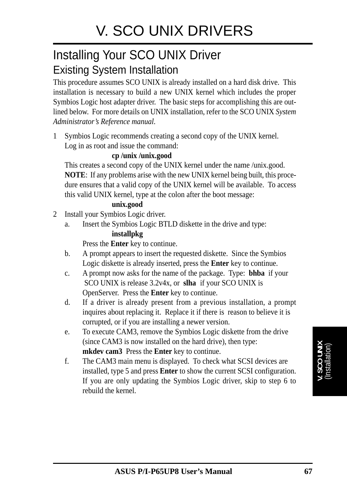### Installing Your SCO UNIX Driver Existing System Installation

This procedure assumes SCO UNIX is already installed on a hard disk drive. This installation is necessary to build a new UNIX kernel which includes the proper Symbios Logic host adapter driver. The basic steps for accomplishing this are outlined below. For more details on UNIX installation, refer to the SCO UNIX *System Administrator's Reference manual*.

1 Symbios Logic recommends creating a second copy of the UNIX kernel. Log in as root and issue the command:

#### **cp /unix /unix.good**

This creates a second copy of the UNIX kernel under the name /unix.good. **NOTE**: If any problems arise with the new UNIX kernel being built, this procedure ensures that a valid copy of the UNIX kernel will be available. To access this valid UNIX kernel, type at the colon after the boot message:

#### **unix.good**

- 2 Install your Symbios Logic driver.
	- a. Insert the Symbios Logic BTLD diskette in the drive and type:

#### **installpkg**

Press the **Enter** key to continue.

- b. A prompt appears to insert the requested diskette. Since the Symbios Logic diskette is already inserted, press the **Enter** key to continue.
- c. A prompt now asks for the name of the package. Type: **bhba** if your SCO UNIX is release 3.2v4x, or **slha** if your SCO UNIX is OpenServer. Press the **Enter** key to continue.
- d. If a driver is already present from a previous installation, a prompt inquires about replacing it. Replace it if there is reason to believe it is corrupted, or if you are installing a newer version.
- e. To execute CAM3, remove the Symbios Logic diskette from the drive (since CAM3 is now installed on the hard drive), then type: **mkdev cam3** Press the **Enter** key to continue.
- f. The CAM3 main menu is displayed. To check what SCSI devices are installed, type 5 and press **Enter** to show the current SCSI configuration. If you are only updating the Symbios Logic driver, skip to step 6 to rebuild the kernel.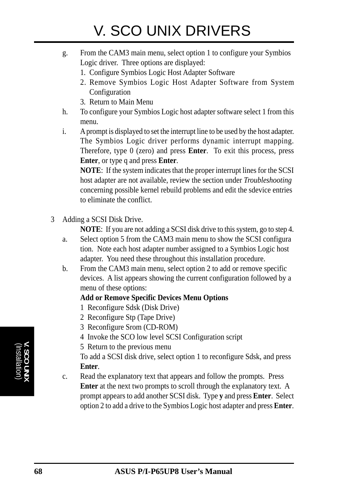- g. From the CAM3 main menu, select option 1 to configure your Symbios Logic driver. Three options are displayed:
	- 1. Configure Symbios Logic Host Adapter Software
	- 2. Remove Symbios Logic Host Adapter Software from System Configuration
	- 3. Return to Main Menu
- h. To configure your Symbios Logic host adapter software select 1 from this menu.
- i. A prompt is displayed to set the interrupt line to be used by the host adapter. The Symbios Logic driver performs dynamic interrupt mapping. Therefore, type 0 (zero) and press **Enter**. To exit this process, press **Enter**, or type q and press **Enter**.

**NOTE**: If the system indicates that the proper interrupt lines for the SCSI host adapter are not available, review the section under *Troubleshooting* concerning possible kernel rebuild problems and edit the sdevice entries to eliminate the conflict.

3 Adding a SCSI Disk Drive.

**NOTE**: If you are not adding a SCSI disk drive to this system, go to step 4.

- a. Select option 5 from the CAM3 main menu to show the SCSI configura tion. Note each host adapter number assigned to a Symbios Logic host adapter. You need these throughout this installation procedure.
- b. From the CAM3 main menu, select option 2 to add or remove specific devices. A list appears showing the current configuration followed by a menu of these options:

#### **Add or Remove Specific Devices Menu Options**

- 1 Reconfigure Sdsk (Disk Drive)
- 2 Reconfigure Stp (Tape Drive)
- 3 Reconfigure Srom (CD-ROM)
- 4 Invoke the SCO low level SCSI Configuration script
- 5 Return to the previous menu

To add a SCSI disk drive, select option 1 to reconfigure Sdsk, and press **Enter**.

c. Read the explanatory text that appears and follow the prompts. Press **Enter** at the next two prompts to scroll through the explanatory text. A prompt appears to add another SCSI disk. Type **y** and press **Enter**. Select option 2 to add a drive to the Symbios Logic host adapter and press **Enter**.

**68 ASUS P/I-P65UP8 User's Manual**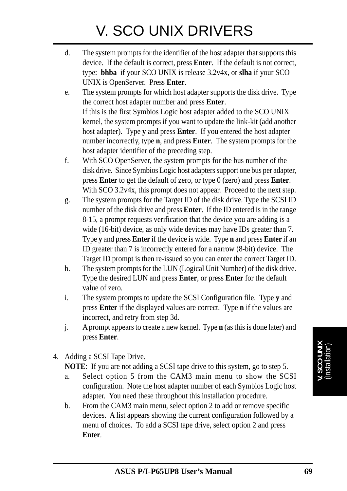- d. The system prompts for the identifier of the host adapter that supports this device. If the default is correct, press **Enter**. If the default is not correct, type: **bhba** if your SCO UNIX is release 3.2v4x, or **slha** if your SCO UNIX is OpenServer. Press **Enter**.
- e. The system prompts for which host adapter supports the disk drive. Type the correct host adapter number and press **Enter**. If this is the first Symbios Logic host adapter added to the SCO UNIX kernel, the system prompts if you want to update the link-kit (add another host adapter). Type **y** and press **Enter**. If you entered the host adapter number incorrectly, type **n**, and press **Enter**. The system prompts for the host adapter identifier of the preceding step.
- f. With SCO OpenServer, the system prompts for the bus number of the disk drive. Since Symbios Logic host adapters support one bus per adapter, press **Enter** to get the default of zero, or type 0 (zero) and press **Enter**. With SCO 3.2v4x, this prompt does not appear. Proceed to the next step.
- g. The system prompts for the Target ID of the disk drive. Type the SCSI ID number of the disk drive and press **Enter**. If the ID entered is in the range 8-15, a prompt requests verification that the device you are adding is a wide (16-bit) device, as only wide devices may have IDs greater than 7. Type **y** and press **Enter** if the device is wide. Type **n** and press **Enter** if an ID greater than 7 is incorrectly entered for a narrow (8-bit) device. The Target ID prompt is then re-issued so you can enter the correct Target ID.
- h. The system prompts for the LUN (Logical Unit Number) of the disk drive. Type the desired LUN and press **Enter**, or press **Enter** for the default value of zero.
- i. The system prompts to update the SCSI Configuration file. Type **y** and press **Enter** if the displayed values are correct. Type **n** if the values are incorrect, and retry from step 3d.
- j. A prompt appears to create a new kernel. Type **n** (as this is done later) and press **Enter**.
- 4. Adding a SCSI Tape Drive.

**NOTE**: If you are not adding a SCSI tape drive to this system, go to step 5.

- a. Select option 5 from the CAM3 main menu to show the SCSI configuration. Note the host adapter number of each Symbios Logic host adapter. You need these throughout this installation procedure.
- b. From the CAM3 main menu, select option 2 to add or remove specific devices. A list appears showing the current configuration followed by a menu of choices. To add a SCSI tape drive, select option 2 and press **Enter**.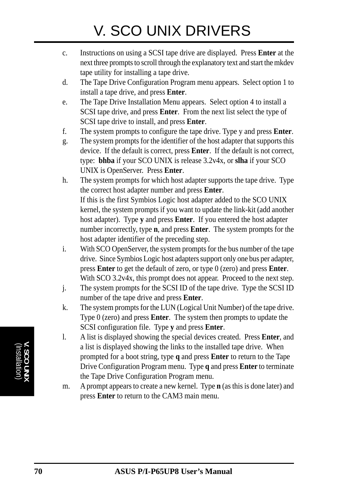- c. Instructions on using a SCSI tape drive are displayed. Press **Enter** at the next three prompts to scroll through the explanatory text and start the mkdev tape utility for installing a tape drive.
- d. The Tape Drive Configuration Program menu appears. Select option 1 to install a tape drive, and press **Enter**.
- e. The Tape Drive Installation Menu appears. Select option 4 to install a SCSI tape drive, and press **Enter**. From the next list select the type of SCSI tape drive to install, and press **Enter**.
- f. The system prompts to configure the tape drive. Type y and press **Enter**.
- g. The system prompts for the identifier of the host adapter that supports this device. If the default is correct, press **Enter**. If the default is not correct, type: **bhba** if your SCO UNIX is release 3.2v4x, or **slha** if your SCO UNIX is OpenServer. Press **Enter**.
- h. The system prompts for which host adapter supports the tape drive. Type the correct host adapter number and press **Enter**. If this is the first Symbios Logic host adapter added to the SCO UNIX kernel, the system prompts if you want to update the link-kit (add another host adapter). Type **y** and press **Enter**. If you entered the host adapter number incorrectly, type **n**, and press **Enter**. The system prompts for the host adapter identifier of the preceding step.
- i. With SCO OpenServer, the system prompts for the bus number of the tape drive. Since Symbios Logic host adapters support only one bus per adapter, press **Enter** to get the default of zero, or type 0 (zero) and press **Enter**. With SCO 3.2v4x, this prompt does not appear. Proceed to the next step.
- j. The system prompts for the SCSI ID of the tape drive. Type the SCSI ID number of the tape drive and press **Enter**.
- k. The system prompts for the LUN (Logical Unit Number) of the tape drive. Type 0 (zero) and press **Enter**. The system then prompts to update the SCSI configuration file. Type **y** and press **Enter**.
- l. A list is displayed showing the special devices created. Press **Enter**, and a list is displayed showing the links to the installed tape drive. When prompted for a boot string, type **q** and press **Enter** to return to the Tape Drive Configuration Program menu. Type **q** and press **Enter** to terminate the Tape Drive Configuration Program menu.
- m. A prompt appears to create a new kernel. Type **n** (as this is done later) and press **Enter** to return to the CAM3 main menu.

(Installation) **V. SCO UNIX**

**70 ASUS P/I-P65UP8 User's Manual**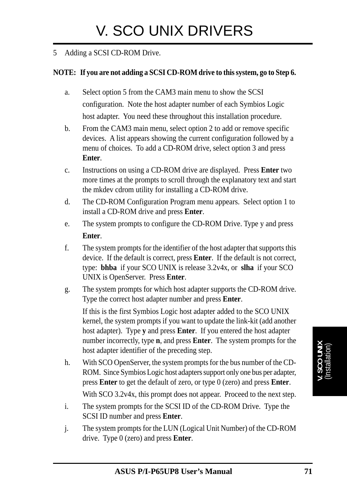#### 5 Adding a SCSI CD-ROM Drive.

#### **NOTE: If you are not adding a SCSI CD-ROM drive to this system, go to Step 6.**

- a. Select option 5 from the CAM3 main menu to show the SCSI configuration. Note the host adapter number of each Symbios Logic host adapter. You need these throughout this installation procedure.
- b. From the CAM3 main menu, select option 2 to add or remove specific devices. A list appears showing the current configuration followed by a menu of choices. To add a CD-ROM drive, select option 3 and press **Enter**.
- c. Instructions on using a CD-ROM drive are displayed. Press **Enter** two more times at the prompts to scroll through the explanatory text and start the mkdev cdrom utility for installing a CD-ROM drive.
- d. The CD-ROM Configuration Program menu appears. Select option 1 to install a CD-ROM drive and press **Enter**.
- e. The system prompts to configure the CD-ROM Drive. Type y and press **Enter**.
- f. The system prompts for the identifier of the host adapter that supports this device. If the default is correct, press **Enter**. If the default is not correct, type: **bhba** if your SCO UNIX is release 3.2v4x, or **slha** if your SCO UNIX is OpenServer. Press **Enter**.
- g. The system prompts for which host adapter supports the CD-ROM drive. Type the correct host adapter number and press **Enter**.

If this is the first Symbios Logic host adapter added to the SCO UNIX kernel, the system prompts if you want to update the link-kit (add another host adapter). Type **y** and press **Enter**. If you entered the host adapter number incorrectly, type **n**, and press **Enter**. The system prompts for the host adapter identifier of the preceding step.

- h. With SCO OpenServer, the system prompts for the bus number of the CD-ROM. Since Symbios Logic host adapters support only one bus per adapter, press **Enter** to get the default of zero, or type 0 (zero) and press **Enter**. With SCO 3.2v4x, this prompt does not appear. Proceed to the next step.
- i. The system prompts for the SCSI ID of the CD-ROM Drive. Type the SCSI ID number and press **Enter**.
- j. The system prompts for the LUN (Logical Unit Number) of the CD-ROM drive. Type 0 (zero) and press **Enter**.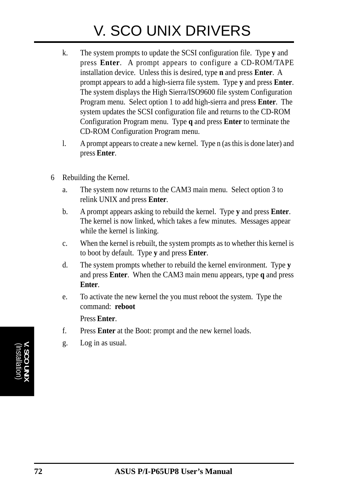- k. The system prompts to update the SCSI configuration file. Type **y** and press **Enter**. A prompt appears to configure a CD-ROM/TAPE installation device. Unless this is desired, type **n** and press **Enter**. A prompt appears to add a high-sierra file system. Type **y** and press **Enter**. The system displays the High Sierra/ISO9600 file system Configuration Program menu. Select option 1 to add high-sierra and press **Enter**. The system updates the SCSI configuration file and returns to the CD-ROM Configuration Program menu. Type **q** and press **Enter** to terminate the CD-ROM Configuration Program menu.
- l. A prompt appears to create a new kernel. Type n (as this is done later) and press **Enter**.
- 6 Rebuilding the Kernel.
	- a. The system now returns to the CAM3 main menu. Select option 3 to relink UNIX and press **Enter**.
	- b. A prompt appears asking to rebuild the kernel. Type **y** and press **Enter**. The kernel is now linked, which takes a few minutes. Messages appear while the kernel is linking.
	- c. When the kernel is rebuilt, the system prompts as to whether this kernel is to boot by default. Type **y** and press **Enter**.
	- d. The system prompts whether to rebuild the kernel environment. Type **y** and press **Enter**. When the CAM3 main menu appears, type **q** and press **Enter**.
	- e. To activate the new kernel the you must reboot the system. Type the command: **reboot**

Press **Enter**.

- f. Press **Enter** at the Boot: prompt and the new kernel loads.
- g. Log in as usual.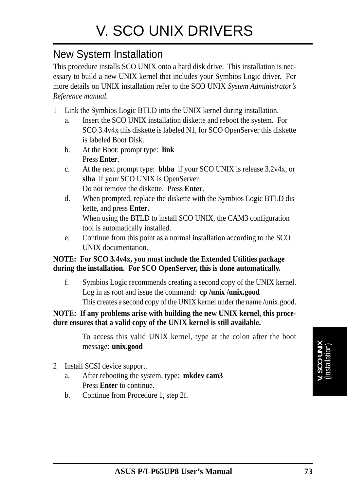## New System Installation

This procedure installs SCO UNIX onto a hard disk drive. This installation is necessary to build a new UNIX kernel that includes your Symbios Logic driver. For more details on UNIX installation refer to the SCO UNIX *System Administrator's Reference manual.*

- 1 Link the Symbios Logic BTLD into the UNIX kernel during installation.
	- a. Insert the SCO UNIX installation diskette and reboot the system. For SCO 3.4v4x this diskette is labeled N1, for SCO OpenServer this diskette is labeled Boot Disk.
	- b. At the Boot: prompt type: **link** Press **Enter**.
	- c. At the next prompt type: **bhba** if your SCO UNIX is release 3.2v4x, or **slha** if your SCO UNIX is OpenServer. Do not remove the diskette. Press **Enter**.
	- d. When prompted, replace the diskette with the Symbios Logic BTLD dis kette, and press **Enter**. When using the BTLD to install SCO UNIX, the CAM3 configuration tool is automatically installed.
	- e. Continue from this point as a normal installation according to the SCO UNIX documentation.

#### **NOTE: For SCO 3.4v4x, you must include the Extended Utilities package during the installation. For SCO OpenServer, this is done automatically.**

f. Symbios Logic recommends creating a second copy of the UNIX kernel. Log in as root and issue the command: **cp /unix /unix.good** This creates a second copy of the UNIX kernel under the name /unix.good.

#### **NOTE: If any problems arise with building the new UNIX kernel, this procedure ensures that a valid copy of the UNIX kernel is still available.**

To access this valid UNIX kernel, type at the colon after the boot message: **unix.good**

- 2 Install SCSI device support.
	- a. After rebooting the system, type: **mkdev cam3** Press **Enter** to continue.
	- b. Continue from Procedure 1, step 2f.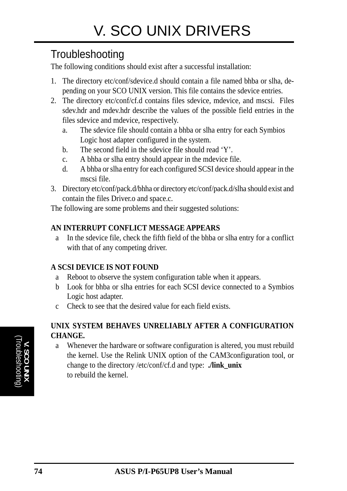# V. SCO UNIX DRIVERS

## **Troubleshooting**

The following conditions should exist after a successful installation:

- 1. The directory etc/conf/sdevice.d should contain a file named bhba or slha, depending on your SCO UNIX version. This file contains the sdevice entries.
- 2. The directory etc/conf/cf.d contains files sdevice, mdevice, and mscsi. Files sdev.hdr and mdev.hdr describe the values of the possible field entries in the files sdevice and mdevice, respectively.
	- a. The sdevice file should contain a bhba or slha entry for each Symbios Logic host adapter configured in the system.
	- b. The second field in the sdevice file should read 'Y'.
	- c. A bhba or slha entry should appear in the mdevice file.
	- d. A bhba or slha entry for each configured SCSI device should appear in the mscsi file.
- 3. Directory etc/conf/pack.d/bhha or directory etc/conf/pack.d/slha should exist and contain the files Driver.o and space.c.

The following are some problems and their suggested solutions:

## **AN INTERRUPT CONFLICT MESSAGE APPEARS**

a In the sdevice file, check the fifth field of the bhba or slha entry for a conflict with that of any competing driver.

## **A SCSI DEVICE IS NOT FOUND**

- a Reboot to observe the system configuration table when it appears.
- b Look for bhba or slha entries for each SCSI device connected to a Symbios Logic host adapter.
- c Check to see that the desired value for each field exists.

## **UNIX SYSTEM BEHAVES UNRELIABLY AFTER A CONFIGURATION CHANGE.**

a Whenever the hardware or software configuration is altered, you must rebuild the kernel. Use the Relink UNIX option of the CAM3configuration tool, or change to the directory /etc/conf/cf.d and type: **./link\_unix** to rebuild the kernel.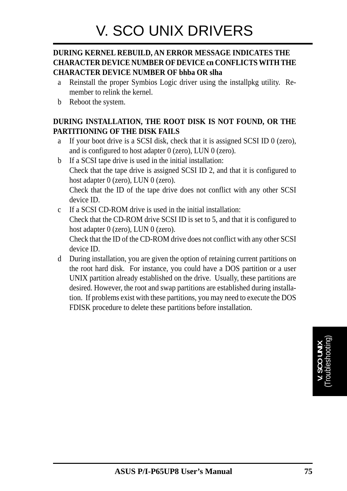### **DURING KERNEL REBUILD, AN ERROR MESSAGE INDICATES THE CHARACTER DEVICE NUMBER OF DEVICE cn CONFLICTS WITH THE CHARACTER DEVICE NUMBER OF bhba OR slha**

- a Reinstall the proper Symbios Logic driver using the installpkg utility. Remember to relink the kernel.
- b Reboot the system.

### **DURING INSTALLATION, THE ROOT DISK IS NOT FOUND, OR THE PARTITIONING OF THE DISK FAILS**

- a If your boot drive is a SCSI disk, check that it is assigned SCSI ID 0 (zero), and is configured to host adapter 0 (zero), LUN 0 (zero).
- b If a SCSI tape drive is used in the initial installation: Check that the tape drive is assigned SCSI ID 2, and that it is configured to host adapter 0 (zero), LUN 0 (zero). Check that the ID of the tape drive does not conflict with any other SCSI device ID.
- c If a SCSI CD-ROM drive is used in the initial installation: Check that the CD-ROM drive SCSI ID is set to 5, and that it is configured to host adapter 0 (zero), LUN 0 (zero). Check that the ID of the CD-ROM drive does not conflict with any other SCSI device ID.
- d During installation, you are given the option of retaining current partitions on the root hard disk. For instance, you could have a DOS partition or a user UNIX partition already established on the drive. Usually, these partitions are desired. However, the root and swap partitions are established during installation. If problems exist with these partitions, you may need to execute the DOS FDISK procedure to delete these partitions before installation.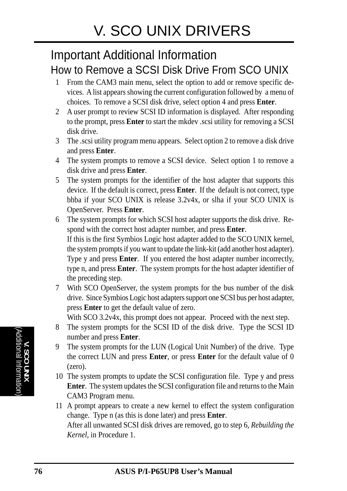# V. SCO UNIX DRIVERS

# Important Additional Information How to Remove a SCSI Disk Drive From SCO UNIX

- 1 From the CAM3 main menu, select the option to add or remove specific devices. A list appears showing the current configuration followed by a menu of choices. To remove a SCSI disk drive, select option 4 and press **Enter**.
- 2 A user prompt to review SCSI ID information is displayed. After responding to the prompt, press **Enter** to start the mkdev .scsi utility for removing a SCSI disk drive.
- 3 The .scsi utility program menu appears. Select option 2 to remove a disk drive and press **Enter**.
- 4 The system prompts to remove a SCSI device. Select option 1 to remove a disk drive and press **Enter**.
- 5 The system prompts for the identifier of the host adapter that supports this device. If the default is correct, press **Enter**. If the default is not correct, type bhba if your SCO UNIX is release 3.2v4x, or slha if your SCO UNIX is OpenServer. Press **Enter**.
- 6 The system prompts for which SCSI host adapter supports the disk drive. Respond with the correct host adapter number, and press **Enter**. If this is the first Symbios Logic host adapter added to the SCO UNIX kernel, the system prompts if you want to update the link-kit (add another host adapter). Type y and press **Enter**. If you entered the host adapter number incorrectly, type n, and press **Enter**. The system prompts for the host adapter identifier of the preceding step.
- 7 With SCO OpenServer, the system prompts for the bus number of the disk drive. Since Symbios Logic host adapters support one SCSI bus per host adapter, press **Enter** to get the default value of zero.

With SCO 3.2v4x, this prompt does not appear. Proceed with the next step.

- 8 The system prompts for the SCSI ID of the disk drive. Type the SCSI ID number and press **Enter**.
- 9 The system prompts for the LUN (Logical Unit Number) of the drive. Type the correct LUN and press **Enter**, or press **Enter** for the default value of 0 (zero).
- 10 The system prompts to update the SCSI configuration file. Type y and press **Enter**. The system updates the SCSI configuration file and returns to the Main CAM3 Program menu.
- 11 A prompt appears to create a new kernel to effect the system configuration change. Type n (as this is done later) and press **Enter**. After all unwanted SCSI disk drives are removed, go to step 6, *Rebuilding the Kernel*, in Procedure 1.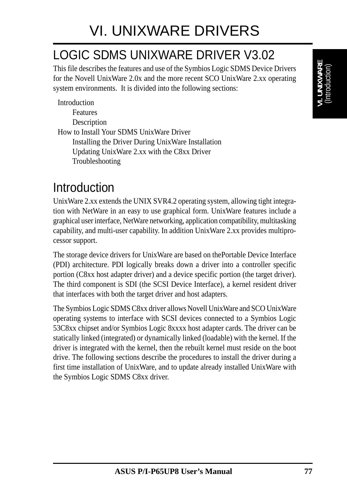# LOGIC SDMS UNIXWARE DRIVER V3.02

This file describes the features and use of the Symbios Logic SDMS Device Drivers for the Novell UnixWare 2.0x and the more recent SCO UnixWare 2.xx operating system environments. It is divided into the following sections:

Introduction Features Description How to Install Your SDMS UnixWare Driver Installing the Driver During UnixWare Installation Updating UnixWare 2.xx with the C8xx Driver Troubleshooting

# Introduction

UnixWare 2.xx extends the UNIX SVR4.2 operating system, allowing tight integration with NetWare in an easy to use graphical form. UnixWare features include a graphical user interface, NetWare networking, application compatibility, multitasking capability, and multi-user capability. In addition UnixWare 2.xx provides multiprocessor support.

The storage device drivers for UnixWare are based on thePortable Device Interface (PDI) architecture. PDI logically breaks down a driver into a controller specific portion (C8xx host adapter driver) and a device specific portion (the target driver). The third component is SDI (the SCSI Device Interface), a kernel resident driver that interfaces with both the target driver and host adapters.

The Symbios Logic SDMS C8xx driver allows Novell UnixWare and SCO UnixWare operating systems to interface with SCSI devices connected to a Symbios Logic 53C8xx chipset and/or Symbios Logic 8xxxx host adapter cards. The driver can be statically linked (integrated) or dynamically linked (loadable) with the kernel. If the driver is integrated with the kernel, then the rebuilt kernel must reside on the boot drive. The following sections describe the procedures to install the driver during a first time installation of UnixWare, and to update already installed UnixWare with the Symbios Logic SDMS C8xx driver.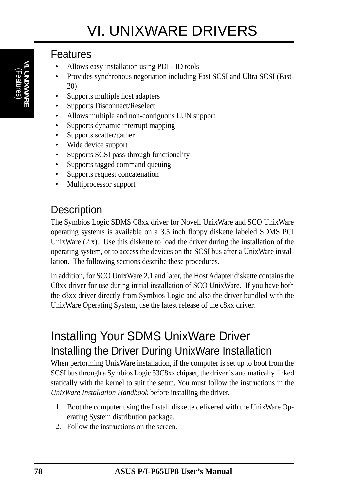## Features

- Allows easy installation using PDI ID tools
- Provides synchronous negotiation including Fast SCSI and Ultra SCSI (Fast-20)
- Supports multiple host adapters
- Supports Disconnect/Reselect
- Allows multiple and non-contiguous LUN support
- Supports dynamic interrupt mapping
- Supports scatter/gather
- Wide device support
- Supports SCSI pass-through functionality
- Supports tagged command queuing
- Supports request concatenation
- Multiprocessor support

# **Description**

The Symbios Logic SDMS C8xx driver for Novell UnixWare and SCO UnixWare operating systems is available on a 3.5 inch floppy diskette labeled SDMS PCI UnixWare (2.x). Use this diskette to load the driver during the installation of the operating system, or to access the devices on the SCSI bus after a UnixWare installation. The following sections describe these procedures.

In addition, for SCO UnixWare 2.1 and later, the Host Adapter diskette contains the C8xx driver for use during initial installation of SCO UnixWare. If you have both the c8xx driver directly from Symbios Logic and also the driver bundled with the UnixWare Operating System, use the latest release of the c8xx driver.

# Installing Your SDMS UnixWare Driver Installing the Driver During UnixWare Installation

When performing UnixWare installation, if the computer is set up to boot from the SCSI bus through a Symbios Logic 53C8xx chipset, the driver is automatically linked statically with the kernel to suit the setup. You must follow the instructions in the *UnixWare Installation Handbook* before installing the driver.

- 1. Boot the computer using the Install diskette delivered with the UnixWare Operating System distribution package.
- 2. Follow the instructions on the screen.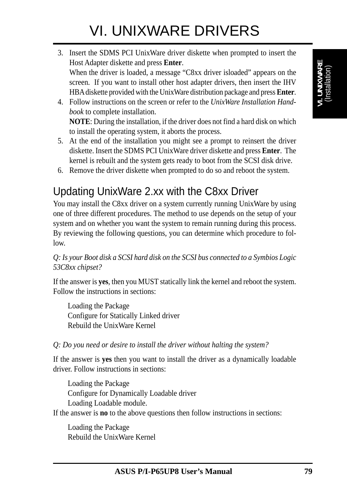- 3. Insert the SDMS PCI UnixWare driver diskette when prompted to insert the Host Adapter diskette and press **Enter**. When the driver is loaded, a message "C8xx driver isloaded" appears on the screen. If you want to install other host adapter drivers, then insert the IHV HBA diskette provided with the UnixWare distribution package and press **Enter**.
- 4. Follow instructions on the screen or refer to the *UnixWare Installation Handbook* to complete installation. **NOTE**: During the installation, if the driver does not find a hard disk on which to install the operating system, it aborts the process.
- 5. At the end of the installation you might see a prompt to reinsert the driver diskette. Insert the SDMS PCI UnixWare driver diskette and press **Enter**. The kernel is rebuilt and the system gets ready to boot from the SCSI disk drive.
- 6. Remove the driver diskette when prompted to do so and reboot the system.

# Updating UnixWare 2.xx with the C8xx Driver

You may install the C8xx driver on a system currently running UnixWare by using one of three different procedures. The method to use depends on the setup of your system and on whether you want the system to remain running during this process. By reviewing the following questions, you can determine which procedure to follow.

### *Q: Is your Boot disk a SCSI hard disk on the SCSI bus connected to a Symbios Logic 53C8xx chipset?*

If the answer is **yes**, then you MUST statically link the kernel and reboot the system. Follow the instructions in sections:

 Loading the Package Configure for Statically Linked driver Rebuild the UnixWare Kernel

### *Q: Do you need or desire to install the driver without halting the system?*

If the answer is **yes** then you want to install the driver as a dynamically loadable driver. Follow instructions in sections:

 Loading the Package Configure for Dynamically Loadable driver Loading Loadable module. If the answer is **no** to the above questions then follow instructions in sections:

 Loading the Package Rebuild the UnixWare Kernel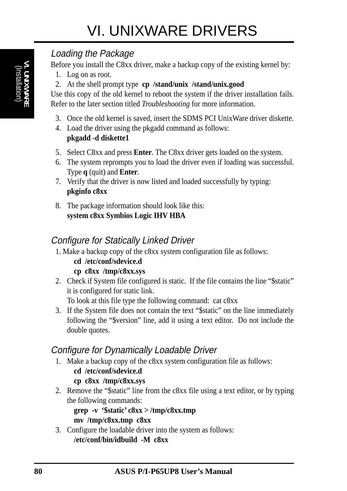## Loading the Package

Before you install the C8xx driver, make a backup copy of the existing kernel by:

- 1. Log on as root.
- 2. At the shell prompt type **cp /stand/unix /stand/unix.good**

Use this copy of the old kernel to reboot the system if the driver installation fails. Refer to the later section titled *Troubleshooting* for more information.

- 3. Once the old kernel is saved, insert the SDMS PCI UnixWare driver diskette.
- 4. Load the driver using the pkgadd command as follows: **pkgadd -d diskette1**
- 5. Select C8xx and press **Enter**. The C8xx driver gets loaded on the system.
- 6. The system reprompts you to load the driver even if loading was successful. Type **q** (quit) and **Enter**.
- 7. Verify that the driver is now listed and loaded successfully by typing: **pkginfo c8xx**
- 8. The package information should look like this: **system c8xx Symbios Logic IHV HBA**

## Configure for Statically Linked Driver

1. Make a backup copy of the c8xx system configuration file as follows:

## **cd /etc/conf/sdevice.d**

## **cp c8xx /tmp/c8xx.sys**

2. Check if System file configured is static. If the file contains the line "\$static" it is configured for static link.

To look at this file type the following command: cat c8xx

3. If the System file does not contain the text "\$static" on the line immediately following the "\$version" line, add it using a text editor. Do not include the double quotes.

## Configure for Dynamically Loadable Driver

1. Make a backup copy of the c8xx system configuration file as follows: **cd /etc/conf/sdevice.d**

**cp c8xx /tmp/c8xx.sys**

2. Remove the "\$static" line from the c8xx file using a text editor, or by typing the following commands:

**grep -v '\$static' c8xx > /tmp/c8xx.tmp**

- **mv /tmp/c8xx.tmp c8xx**
- 3. Configure the loadable driver into the system as follows: **/etc/conf/bin/idbuild -M c8xx**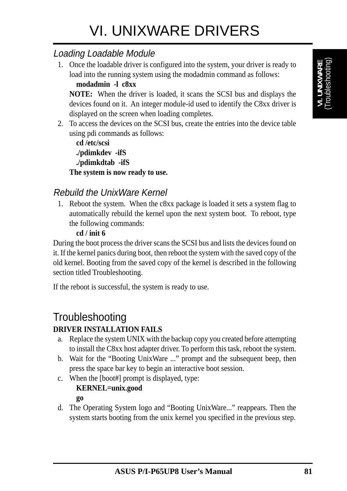## Loading Loadable Module

1. Once the loadable driver is configured into the system, your driver is ready to load into the running system using the modadmin command as follows:

**modadmin -l c8xx NOTE:** When the driver is loaded, it scans the SCSI bus and displays the devices found on it. An integer module-id used to identify the C8xx driver is displayed on the screen when loading completes.

2. To access the devices on the SCSI bus, create the entries into the device table using pdi commands as follows:

**cd /etc/scsi ./pdimkdev -ifS ./pdimkdtab -ifS The system is now ready to use.**

## Rebuild the UnixWare Kernel

1. Reboot the system. When the c8xx package is loaded it sets a system flag to automatically rebuild the kernel upon the next system boot. To reboot, type the following commands:

### **cd / init 6**

During the boot process the driver scans the SCSI bus and lists the devices found on it. If the kernel panics during boot, then reboot the system with the saved copy of the old kernel. Booting from the saved copy of the kernel is described in the following section titled Troubleshooting.

If the reboot is successful, the system is ready to use.

# Troubleshooting

## **DRIVER INSTALLATION FAILS**

- a. Replace the system UNIX with the backup copy you created before attempting to install the C8xx host adapter driver. To perform this task, reboot the system.
- b. Wait for the "Booting UnixWare ..." prompt and the subsequent beep, then press the space bar key to begin an interactive boot session.
- c. When the [boot#] prompt is displayed, type:

## **KERNEL=unix.good**

**go**

d. The Operating System logo and "Booting UnixWare..." reappears. Then the system starts booting from the unix kernel you specified in the previous step.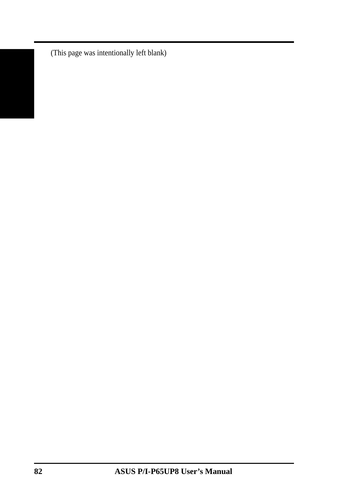(This page was intentionally left blank)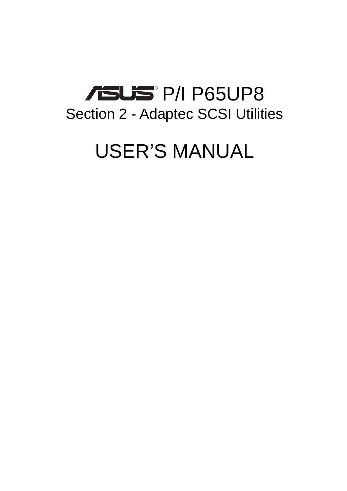

# USER'S MANUAL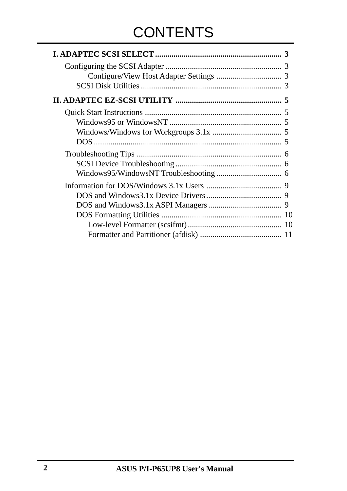# **CONTENTS**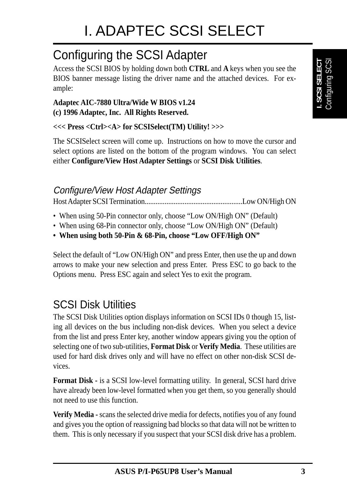# Configuring the SCSI Adapter

Access the SCSI BIOS by holding down both **CTRL** and **A** keys when you see the BIOS banner message listing the driver name and the attached devices. For example:

### **Adaptec AIC-7880 Ultra/Wide W BIOS v1.24 (c) 1996 Adaptec, Inc. All Rights Reserved.**

### **<<< Press <Ctrl><A> for SCSISelect(TM) Utility! >>>**

The SCSISelect screen will come up. Instructions on how to move the cursor and select options are listed on the bottom of the program windows. You can select either **Configure/View Host Adapter Settings** or **SCSI Disk Utilities**.

## Configure/View Host Adapter Settings

Host Adapter SCSI Termination......................................................Low ON/High ON

- When using 50-Pin connector only, choose "Low ON/High ON" (Default)
- When using 68-Pin connector only, choose "Low ON/High ON" (Default)
- **When using both 50-Pin & 68-Pin, choose "Low OFF/High ON"**

Select the default of "Low ON/High ON" and press Enter, then use the up and down arrows to make your new selection and press Enter. Press ESC to go back to the Options menu. Press ESC again and select Yes to exit the program.

## SCSI Disk Utilities

The SCSI Disk Utilities option displays information on SCSI IDs 0 though 15, listing all devices on the bus including non-disk devices. When you select a device from the list and press Enter key, another window appears giving you the option of selecting one of two sub-utilities, **Format Disk** or **Verify Media**. These utilities are used for hard disk drives only and will have no effect on other non-disk SCSI devices.

**Format Disk -** is a SCSI low-level formatting utility. In general, SCSI hard drive have already been low-level formatted when you get them, so you generally should not need to use this function.

**Verify Media -** scans the selected drive media for defects, notifies you of any found and gives you the option of reassigning bad blocks so that data will not be written to them. This is only necessary if you suspect that your SCSI disk drive has a problem.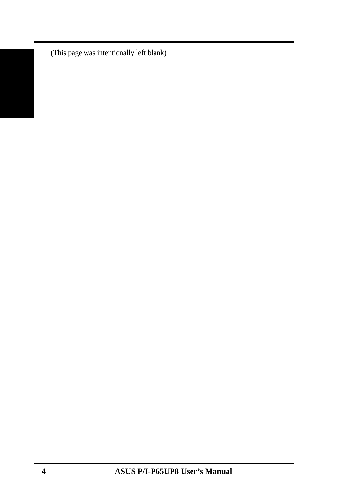(This page was intentionally left blank)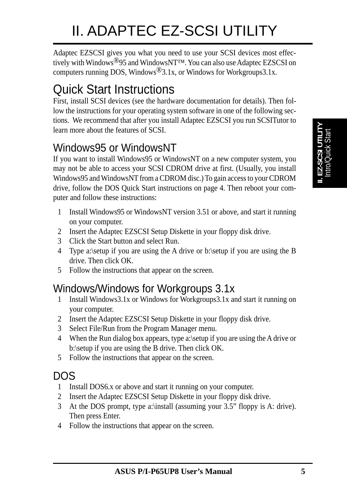# II. ADAPTEC EZ-SCSI UTILITY

Adaptec EZSCSI gives you what you need to use your SCSI devices most effectively with Windows®95 and WindowsNT™. You can also use Adaptec EZSCSI on computers running DOS, Windows $\bigcirc$ 3.1x, or Windows for Workgroups3.1x.

# Quick Start Instructions

First, install SCSI devices (see the hardware documentation for details). Then follow the instructions for your operating system software in one of the following sections. We recommend that after you install Adaptec EZSCSI you run SCSITutor to learn more about the features of SCSI.

# Windows95 or WindowsNT

If you want to install Windows95 or WindowsNT on a new computer system, you may not be able to access your SCSI CDROM drive at first. (Usually, you install Windows95 and WindowsNT from a CDROM disc.) To gain access to your CDROM drive, follow the DOS Quick Start instructions on page 4. Then reboot your computer and follow these instructions:

- 1 Install Windows95 or WindowsNT version 3.51 or above, and start it running on your computer.
- 2 Insert the Adaptec EZSCSI Setup Diskette in your floppy disk drive.
- 3 Click the Start button and select Run.
- 4 Type a:\setup if you are using the A drive or b:\setup if you are using the B drive. Then click OK.
- 5 Follow the instructions that appear on the screen.

# Windows/Windows for Workgroups 3.1x

- 1 Install Windows3.1x or Windows for Workgroups3.1x and start it running on your computer.
- 2 Insert the Adaptec EZSCSI Setup Diskette in your floppy disk drive.
- 3 Select File/Run from the Program Manager menu.
- 4 When the Run dialog box appears, type a:\setup if you are using the A drive or b:\setup if you are using the B drive. Then click OK.
- 5 Follow the instructions that appear on the screen.

# DOS

- 1 Install DOS6.x or above and start it running on your computer.
- 2 Insert the Adaptec EZSCSI Setup Diskette in your floppy disk drive.
- 3 At the DOS prompt, type a:\install (assuming your 3.5" floppy is A: drive). Then press Enter.
- 4 Follow the instructions that appear on the screen.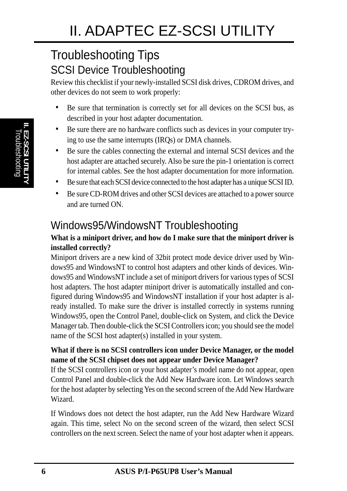# Troubleshooting Tips SCSI Device Troubleshooting

Review this checklist if your newly-installed SCSI disk drives, CDROM drives, and other devices do not seem to work properly:

- Be sure that termination is correctly set for all devices on the SCSI bus, as described in your host adapter documentation.
- Be sure there are no hardware conflicts such as devices in your computer trying to use the same interrupts (IRQs) or DMA channels.
- Be sure the cables connecting the external and internal SCSI devices and the host adapter are attached securely. Also be sure the pin-1 orientation is correct for internal cables. See the host adapter documentation for more information.
- Be sure that each SCSI device connected to the host adapter has a unique SCSI ID.
- Be sure CD-ROM drives and other SCSI devices are attached to a power source and are turned ON.

# Windows95/WindowsNT Troubleshooting

## **What is a miniport driver, and how do I make sure that the miniport driver is installed correctly?**

Miniport drivers are a new kind of 32bit protect mode device driver used by Windows95 and WindowsNT to control host adapters and other kinds of devices. Windows95 and WindowsNT include a set of miniport drivers for various types of SCSI host adapters. The host adapter miniport driver is automatically installed and configured during Windows95 and WindowsNT installation if your host adapter is already installed. To make sure the driver is installed correctly in systems running Windows95, open the Control Panel, double-click on System, and click the Device Manager tab. Then double-click the SCSI Controllers icon; you should see the model name of the SCSI host adapter(s) installed in your system.

### **What if there is no SCSI controllers icon under Device Manager, or the model name of the SCSI chipset does not appear under Device Manager?**

If the SCSI controllers icon or your host adapter's model name do not appear, open Control Panel and double-click the Add New Hardware icon. Let Windows search for the host adapter by selecting Yes on the second screen of the Add New Hardware Wizard.

If Windows does not detect the host adapter, run the Add New Hardware Wizard again. This time, select No on the second screen of the wizard, then select SCSI controllers on the next screen. Select the name of your host adapter when it appears.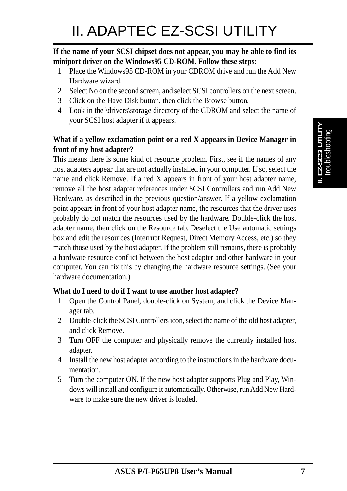### **If the name of your SCSI chipset does not appear, you may be able to find its miniport driver on the Windows95 CD-ROM. Follow these steps:**

- 1 Place the Windows95 CD-ROM in your CDROM drive and run the Add New Hardware wizard.
- 2 Select No on the second screen, and select SCSI controllers on the next screen.
- 3 Click on the Have Disk button, then click the Browse button.
- 4 Look in the \drivers\storage directory of the CDROM and select the name of your SCSI host adapter if it appears.

## **What if a yellow exclamation point or a red X appears in Device Manager in front of my host adapter?**

This means there is some kind of resource problem. First, see if the names of any host adapters appear that are not actually installed in your computer. If so, select the name and click Remove. If a red X appears in front of your host adapter name, remove all the host adapter references under SCSI Controllers and run Add New Hardware, as described in the previous question/answer. If a yellow exclamation point appears in front of your host adapter name, the resources that the driver uses probably do not match the resources used by the hardware. Double-click the host adapter name, then click on the Resource tab. Deselect the Use automatic settings box and edit the resources (Interrupt Request, Direct Memory Access, etc.) so they match those used by the host adapter. If the problem still remains, there is probably a hardware resource conflict between the host adapter and other hardware in your computer. You can fix this by changing the hardware resource settings. (See your hardware documentation.)

### **What do I need to do if I want to use another host adapter?**

- 1 Open the Control Panel, double-click on System, and click the Device Manager tab.
- 2 Double-click the SCSI Controllers icon, select the name of the old host adapter, and click Remove.
- 3 Turn OFF the computer and physically remove the currently installed host adapter.
- 4 Install the new host adapter according to the instructions in the hardware documentation.
- 5 Turn the computer ON. If the new host adapter supports Plug and Play, Windows will install and configure it automatically. Otherwise, run Add New Hardware to make sure the new driver is loaded.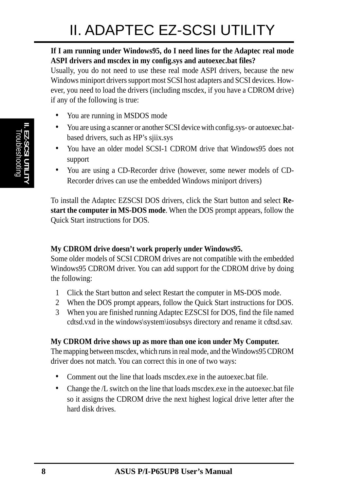### **If I am running under Windows95, do I need lines for the Adaptec real mode ASPI drivers and mscdex in my config.sys and autoexec.bat files?**

Usually, you do not need to use these real mode ASPI drivers, because the new Windows miniport drivers support most SCSI host adapters and SCSI devices. However, you need to load the drivers (including mscdex, if you have a CDROM drive) if any of the following is true:

- You are running in MSDOS mode
- You are using a scanner or another SCSI device with config.sys- or autoexec.batbased drivers, such as HP's sjiix.sys
- You have an older model SCSI-1 CDROM drive that Windows95 does not support
- You are using a CD-Recorder drive (however, some newer models of CD-Recorder drives can use the embedded Windows miniport drivers)

To install the Adaptec EZSCSI DOS drivers, click the Start button and select **Restart the computer in MS-DOS mode**. When the DOS prompt appears, follow the Quick Start instructions for DOS.

## **My CDROM drive doesn't work properly under Windows95.**

Some older models of SCSI CDROM drives are not compatible with the embedded Windows95 CDROM driver. You can add support for the CDROM drive by doing the following:

- 1 Click the Start button and select Restart the computer in MS-DOS mode.
- 2 When the DOS prompt appears, follow the Quick Start instructions for DOS.
- 3 When you are finished running Adaptec EZSCSI for DOS, find the file named cdtsd.vxd in the windows\system\iosubsys directory and rename it cdtsd.sav.

### **My CDROM drive shows up as more than one icon under My Computer.**

The mapping between mscdex, which runs in real mode, and the Windows95 CDROM driver does not match. You can correct this in one of two ways:

- Comment out the line that loads mscdex.exe in the autoexec.bat file.
- Change the /L switch on the line that loads mscdex.exe in the autoexec.bat file so it assigns the CDROM drive the next highest logical drive letter after the hard disk drives.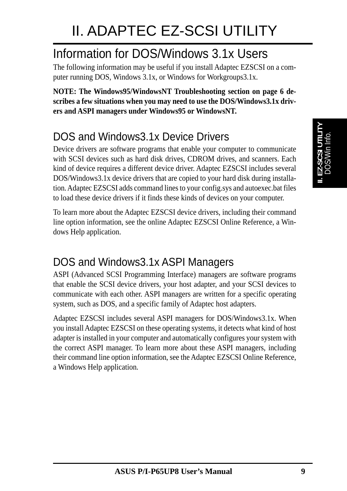# Information for DOS/Windows 3.1x Users

The following information may be useful if you install Adaptec EZSCSI on a computer running DOS, Windows 3.1x, or Windows for Workgroups3.1x.

**NOTE: The Windows95/WindowsNT Troubleshooting section on page 6 describes a few situations when you may need to use the DOS/Windows3.1x drivers and ASPI managers under Windows95 or WindowsNT.**

# DOS and Windows3.1x Device Drivers

Device drivers are software programs that enable your computer to communicate with SCSI devices such as hard disk drives, CDROM drives, and scanners. Each kind of device requires a different device driver. Adaptec EZSCSI includes several DOS/Windows3.1x device drivers that are copied to your hard disk during installation. Adaptec EZSCSI adds command lines to your config.sys and autoexec.bat files to load these device drivers if it finds these kinds of devices on your computer.

To learn more about the Adaptec EZSCSI device drivers, including their command line option information, see the online Adaptec EZSCSI Online Reference, a Windows Help application.

## DOS and Windows3.1x ASPI Managers

ASPI (Advanced SCSI Programming Interface) managers are software programs that enable the SCSI device drivers, your host adapter, and your SCSI devices to communicate with each other. ASPI managers are written for a specific operating system, such as DOS, and a specific family of Adaptec host adapters.

Adaptec EZSCSI includes several ASPI managers for DOS/Windows3.1x. When you install Adaptec EZSCSI on these operating systems, it detects what kind of host adapter is installed in your computer and automatically configures your system with the correct ASPI manager. To learn more about these ASPI managers, including their command line option information, see the Adaptec EZSCSI Online Reference, a Windows Help application.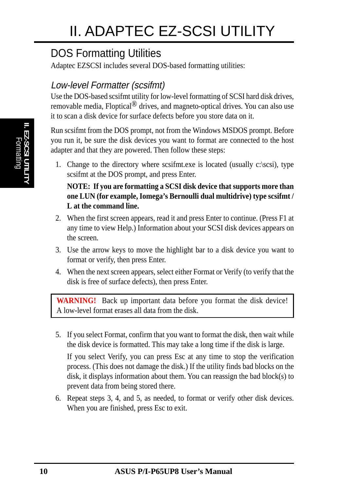# DOS Formatting Utilities

Adaptec EZSCSI includes several DOS-based formatting utilities:

## Low-level Formatter (scsifmt)

Use the DOS-based scsifmt utility for low-level formatting of SCSI hard disk drives, removable media, Floptical<sup>®</sup> drives, and magneto-optical drives. You can also use it to scan a disk device for surface defects before you store data on it.

Run scsifmt from the DOS prompt, not from the Windows MSDOS prompt. Before you run it, be sure the disk devices you want to format are connected to the host adapter and that they are powered. Then follow these steps:

1. Change to the directory where scsifmt.exe is located (usually c:\scsi), type scsifmt at the DOS prompt, and press Enter.

### **NOTE: If you are formatting a SCSI disk device that supports more than one LUN (for example, Iomega's Bernoulli dual multidrive) type scsifmt / L at the command line.**

- 2. When the first screen appears, read it and press Enter to continue. (Press F1 at any time to view Help.) Information about your SCSI disk devices appears on the screen.
- 3. Use the arrow keys to move the highlight bar to a disk device you want to format or verify, then press Enter.
- 4. When the next screen appears, select either Format or Verify (to verify that the disk is free of surface defects), then press Enter.

**WARNING!** Back up important data before you format the disk device! A low-level format erases all data from the disk.

5. If you select Format, confirm that you want to format the disk, then wait while the disk device is formatted. This may take a long time if the disk is large.

If you select Verify, you can press Esc at any time to stop the verification process. (This does not damage the disk.) If the utility finds bad blocks on the disk, it displays information about them. You can reassign the bad block(s) to prevent data from being stored there.

6. Repeat steps 3, 4, and 5, as needed, to format or verify other disk devices. When you are finished, press Esc to exit.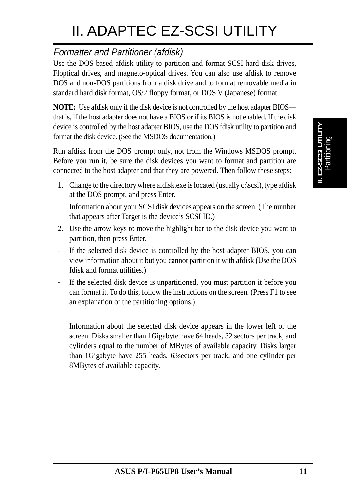## Formatter and Partitioner (afdisk)

Use the DOS-based afdisk utility to partition and format SCSI hard disk drives, Floptical drives, and magneto-optical drives. You can also use afdisk to remove DOS and non-DOS partitions from a disk drive and to format removable media in standard hard disk format, OS/2 floppy format, or DOS V (Japanese) format.

**NOTE:** Use afdisk only if the disk device is not controlled by the host adapter BIOS that is, if the host adapter does not have a BIOS or if its BIOS is not enabled. If the disk device is controlled by the host adapter BIOS, use the DOS fdisk utility to partition and format the disk device. (See the MSDOS documentation.)

Run afdisk from the DOS prompt only, not from the Windows MSDOS prompt. Before you run it, be sure the disk devices you want to format and partition are connected to the host adapter and that they are powered. Then follow these steps:

1. Change to the directory where afdisk.exe is located (usually c:\scsi), type afdisk at the DOS prompt, and press Enter.

Information about your SCSI disk devices appears on the screen. (The number that appears after Target is the device's SCSI ID.)

- 2. Use the arrow keys to move the highlight bar to the disk device you want to partition, then press Enter.
- If the selected disk device is controlled by the host adapter BIOS, you can view information about it but you cannot partition it with afdisk (Use the DOS fdisk and format utilities.)
- If the selected disk device is unpartitioned, you must partition it before you can format it. To do this, follow the instructions on the screen. (Press F1 to see an explanation of the partitioning options.)

Information about the selected disk device appears in the lower left of the screen. Disks smaller than 1Gigabyte have 64 heads, 32 sectors per track, and cylinders equal to the number of MBytes of available capacity. Disks larger than 1Gigabyte have 255 heads, 63sectors per track, and one cylinder per 8MBytes of available capacity.